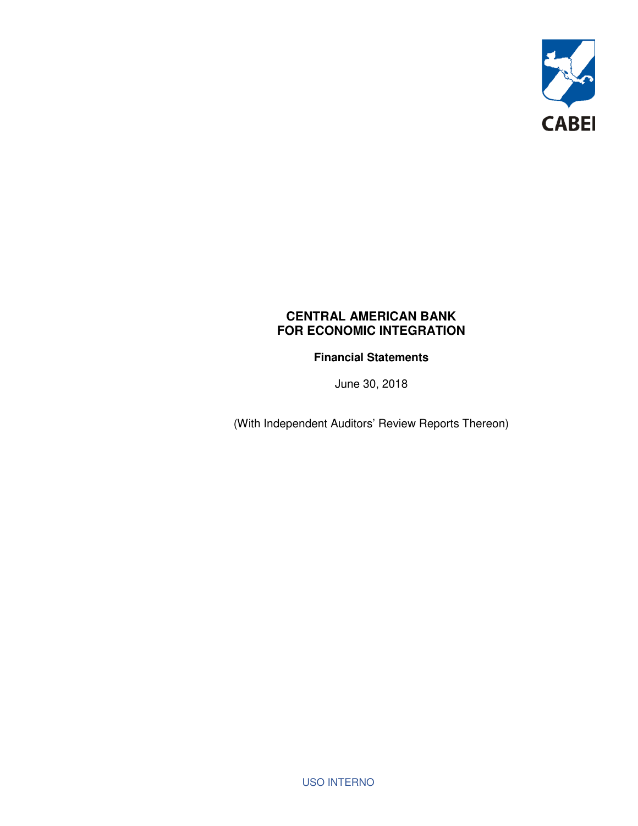

**Financial Statements** 

June 30, 2018

(With Independent Auditors' Review Reports Thereon)

USO INTERNO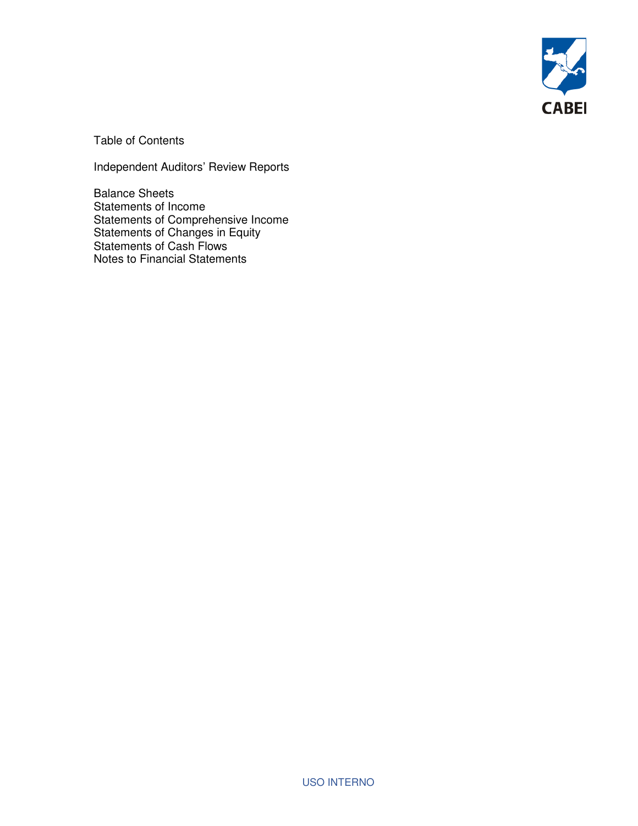

Table of Contents

Independent Auditors' Review Reports

Balance Sheets Statements of Income Statements of Comprehensive Income Statements of Changes in Equity Statements of Cash Flows Notes to Financial Statements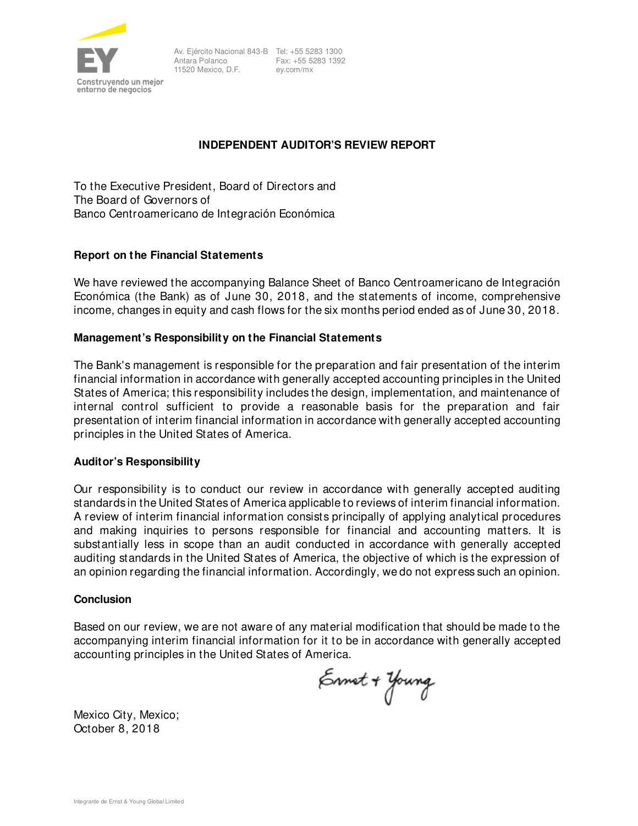

Fax: +55 5283 1392 ey.com/mx

#### **INDEPENDENT AUDITOR'S REVIEW REPORT**

To the Executive President, Board of Directors and The Board of Governors of Banco Centroamericano de Integración Económica

#### **Report on the Financial Statements**

We have reviewed the accompanying Balance Sheet of Banco Centroamericano de Integración Económica (the Bank) as of June 30, 2018, and the statements of income, comprehensive income, changes in equity and cash flows for the six months period ended as of June 30, 2018.

#### **Management's Responsibility on the Financial Statements**

The Bank's management is responsible for the preparation and fair presentation of the interim financial information in accordance with generally accepted accounting principles in the United States of America; this responsibility includes the design, implementation, and maintenance of internal control sufficient to provide a reasonable basis for the preparation and fair presentation of interim financial information in accordance with generally accepted accounting principles in the United States of America.

#### **Auditor's Responsibility**

Our responsibility is to conduct our review in accordance with generally accepted auditing standards in the United States of America applicable to reviews of interim financial information. A review of interim financial information consists principally of applying analytical procedures and making inquiries to persons responsible for financial and accounting matters. It is substantially less in scope than an audit conducted in accordance with generally accepted auditing standards in the United States of America, the objective of which is the expression of an opinion regarding the financial information. Accordingly, we do not express such an opinion.

#### **Conclusion**

Based on our review, we are not aware of any material modification that should be made to the accompanying interim financial information for it to be in accordance with generally accepted accounting principles in the United States of America.

Ennet + Young

Mexico City, Mexico; October 8, 2018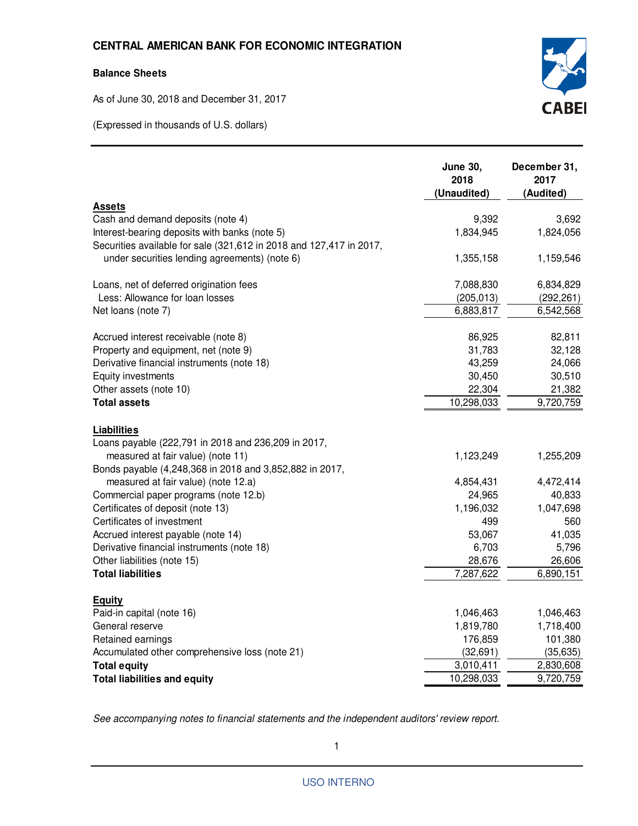#### **Balance Sheets**

As of June 30, 2018 and December 31, 2017

(Expressed in thousands of U.S. dollars)



|                                                                     | <b>June 30,</b><br>2018<br>(Unaudited) | December 31,<br>2017<br>(Audited) |
|---------------------------------------------------------------------|----------------------------------------|-----------------------------------|
| <b>Assets</b>                                                       |                                        |                                   |
| Cash and demand deposits (note 4)                                   | 9,392                                  | 3,692                             |
| Interest-bearing deposits with banks (note 5)                       | 1,834,945                              | 1,824,056                         |
| Securities available for sale (321,612 in 2018 and 127,417 in 2017, |                                        |                                   |
| under securities lending agreements) (note 6)                       | 1,355,158                              | 1,159,546                         |
| Loans, net of deferred origination fees                             | 7,088,830                              | 6,834,829                         |
| Less: Allowance for loan losses                                     | (205, 013)                             | (292, 261)                        |
| Net loans (note 7)                                                  | 6,883,817                              | 6,542,568                         |
| Accrued interest receivable (note 8)                                | 86,925                                 | 82,811                            |
| Property and equipment, net (note 9)                                | 31,783                                 | 32,128                            |
| Derivative financial instruments (note 18)                          | 43,259                                 | 24,066                            |
| Equity investments                                                  | 30,450                                 | 30,510                            |
| Other assets (note 10)                                              | 22,304                                 | 21,382                            |
| <b>Total assets</b>                                                 | 10,298,033                             | 9,720,759                         |
| <b>Liabilities</b>                                                  |                                        |                                   |
| Loans payable (222,791 in 2018 and 236,209 in 2017,                 |                                        |                                   |
| measured at fair value) (note 11)                                   | 1,123,249                              | 1,255,209                         |
| Bonds payable (4,248,368 in 2018 and 3,852,882 in 2017,             |                                        |                                   |
| measured at fair value) (note 12.a)                                 | 4,854,431                              | 4,472,414                         |
| Commercial paper programs (note 12.b)                               | 24,965                                 | 40,833                            |
| Certificates of deposit (note 13)                                   | 1,196,032                              | 1,047,698                         |
| Certificates of investment                                          | 499                                    | 560                               |
| Accrued interest payable (note 14)                                  | 53,067                                 | 41,035                            |
| Derivative financial instruments (note 18)                          | 6,703                                  | 5,796                             |
| Other liabilities (note 15)                                         | 28,676                                 | 26,606                            |
| <b>Total liabilities</b>                                            | 7,287,622                              | 6,890,151                         |
| <b>Equity</b>                                                       |                                        |                                   |
| Paid-in capital (note 16)                                           | 1,046,463                              | 1,046,463                         |
| General reserve                                                     | 1,819,780                              | 1,718,400                         |
| Retained earnings                                                   | 176,859                                | 101,380                           |
| Accumulated other comprehensive loss (note 21)                      | (32, 691)                              | (35, 635)                         |
| <b>Total equity</b>                                                 | 3,010,411                              | 2,830,608                         |
| <b>Total liabilities and equity</b>                                 | 10,298,033                             | 9,720,759                         |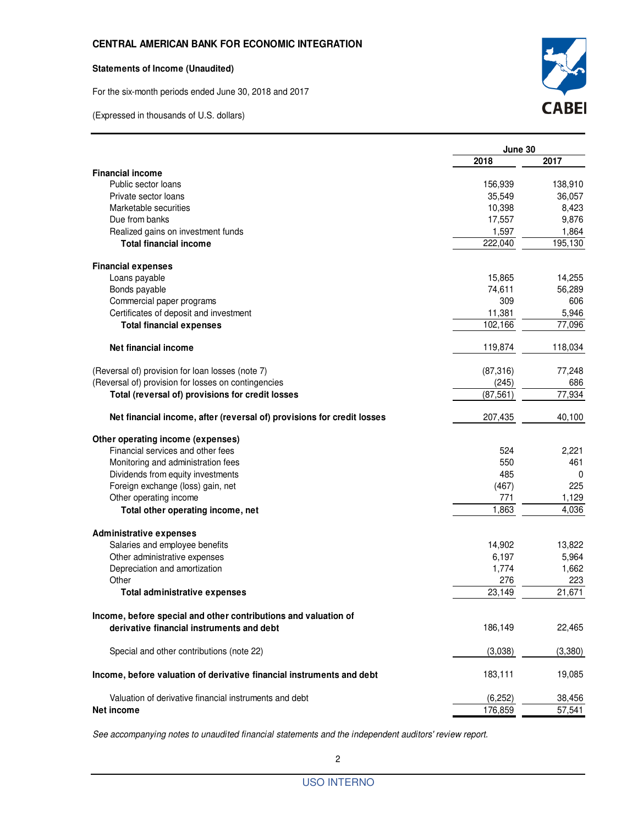#### **Statements of Income (Unaudited)**

For the six-month periods ended June 30, 2018 and 2017





|                                                                        | June 30   |         |
|------------------------------------------------------------------------|-----------|---------|
|                                                                        | 2018      | 2017    |
| <b>Financial income</b>                                                |           |         |
| Public sector loans                                                    | 156,939   | 138,910 |
| Private sector loans                                                   | 35,549    | 36,057  |
| Marketable securities                                                  | 10,398    | 8,423   |
| Due from banks                                                         | 17,557    | 9,876   |
| Realized gains on investment funds                                     | 1,597     | 1,864   |
| <b>Total financial income</b>                                          | 222,040   | 195,130 |
| <b>Financial expenses</b>                                              |           |         |
| Loans payable                                                          | 15,865    | 14,255  |
| Bonds payable                                                          | 74,611    | 56,289  |
| Commercial paper programs                                              | 309       | 606     |
| Certificates of deposit and investment                                 | 11,381    | 5,946   |
| <b>Total financial expenses</b>                                        | 102,166   | 77,096  |
| Net financial income                                                   | 119,874   | 118,034 |
| (Reversal of) provision for loan losses (note 7)                       | (87, 316) | 77,248  |
| (Reversal of) provision for losses on contingencies                    | (245)     | 686     |
| Total (reversal of) provisions for credit losses                       | (87, 561) | 77,934  |
| Net financial income, after (reversal of) provisions for credit losses | 207,435   | 40,100  |
| Other operating income (expenses)                                      |           |         |
| Financial services and other fees                                      | 524       | 2,221   |
| Monitoring and administration fees                                     | 550       | 461     |
| Dividends from equity investments                                      | 485       | 0       |
| Foreign exchange (loss) gain, net                                      | (467)     | 225     |
| Other operating income                                                 | 771       | 1,129   |
| Total other operating income, net                                      | 1,863     | 4,036   |
| <b>Administrative expenses</b>                                         |           |         |
| Salaries and employee benefits                                         | 14,902    | 13,822  |
| Other administrative expenses                                          | 6,197     | 5,964   |
| Depreciation and amortization                                          | 1,774     | 1,662   |
| Other                                                                  | 276       | 223     |
| <b>Total administrative expenses</b>                                   | 23,149    | 21,671  |
| Income, before special and other contributions and valuation of        |           |         |
| derivative financial instruments and debt                              | 186,149   | 22,465  |
| Special and other contributions (note 22)                              | (3,038)   | (3,380) |
| Income, before valuation of derivative financial instruments and debt  | 183,111   | 19,085  |
| Valuation of derivative financial instruments and debt                 | (6, 252)  | 38,456  |
| Net income                                                             | 176,859   | 57,541  |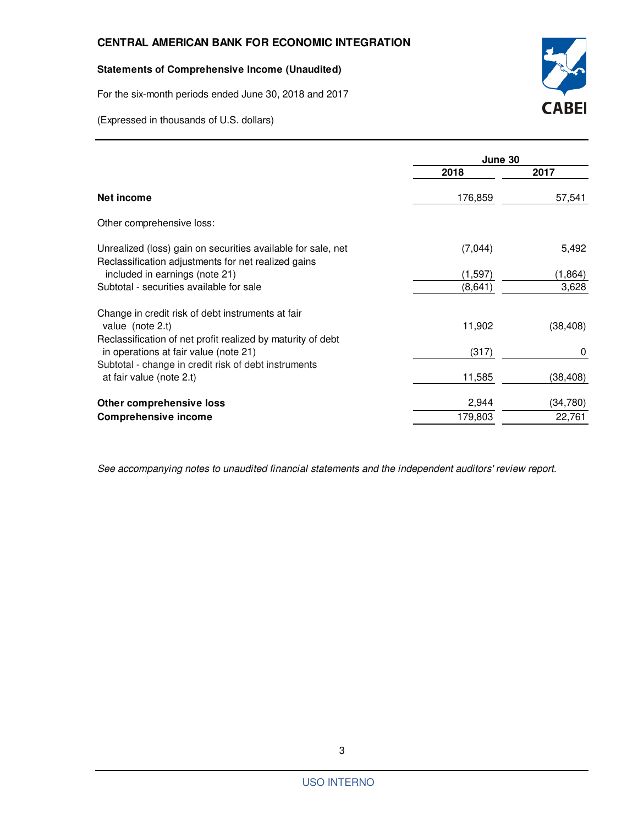#### **Statements of Comprehensive Income (Unaudited)**

For the six-month periods ended June 30, 2018 and 2017

(Expressed in thousands of U.S. dollars)



|                                                                                                                     | June 30  |           |
|---------------------------------------------------------------------------------------------------------------------|----------|-----------|
|                                                                                                                     | 2018     | 2017      |
| Net income                                                                                                          | 176,859  | 57,541    |
| Other comprehensive loss:                                                                                           |          |           |
| Unrealized (loss) gain on securities available for sale, net<br>Reclassification adjustments for net realized gains | (7,044)  | 5,492     |
| included in earnings (note 21)                                                                                      | (1, 597) | (1, 864)  |
| Subtotal - securities available for sale                                                                            | (8,641)  | 3,628     |
| Change in credit risk of debt instruments at fair                                                                   |          |           |
| value (note 2.t)                                                                                                    | 11,902   | (38, 408) |
| Reclassification of net profit realized by maturity of debt                                                         |          |           |
| in operations at fair value (note 21)                                                                               | (317)    | 0         |
| Subtotal - change in credit risk of debt instruments                                                                |          |           |
| at fair value (note 2.t)                                                                                            | 11,585   | (38, 408) |
| Other comprehensive loss                                                                                            | 2,944    | (34, 780) |
| <b>Comprehensive income</b>                                                                                         | 179,803  | 22,761    |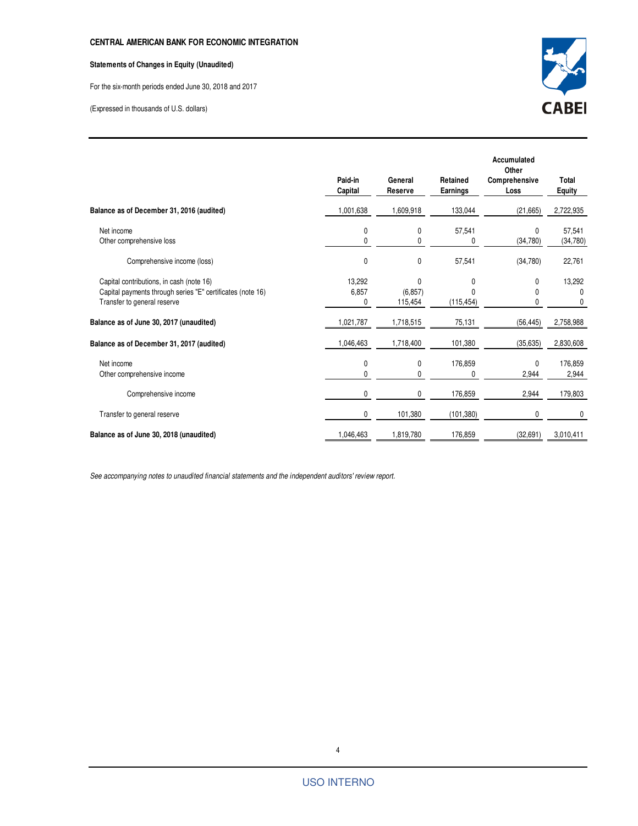#### **Statements of Changes in Equity (Unaudited)**

For the six-month periods ended June 30, 2018 and 2017

(Expressed in thousands of U.S. dollars)



|                                                                                                                                       | Paid-in<br>Capital   | General<br><b>Reserve</b>           | Retained<br><b>Earnings</b> | <b>Accumulated</b><br>Other<br>Comprehensive<br>Loss | Total<br><b>Equity</b>  |
|---------------------------------------------------------------------------------------------------------------------------------------|----------------------|-------------------------------------|-----------------------------|------------------------------------------------------|-------------------------|
| Balance as of December 31, 2016 (audited)                                                                                             | 1,001,638            | 1,609,918                           | 133,044                     | (21, 665)                                            | 2,722,935               |
| Net income<br>Other comprehensive loss                                                                                                | 0<br>0               | 0<br>0                              | 57,541<br>0                 | $\mathbf{0}$<br>(34, 780)                            | 57,541<br>(34,780)      |
| Comprehensive income (loss)                                                                                                           | $\mathbf{0}$         | 0                                   | 57,541                      | (34,780)                                             | 22,761                  |
| Capital contributions, in cash (note 16)<br>Capital payments through series "E" certificates (note 16)<br>Transfer to general reserve | 13,292<br>6,857<br>0 | $\mathbf{0}$<br>(6, 857)<br>115,454 | 0<br>U<br>(115, 454)        | 0<br>0<br>0                                          | 13,292<br>$\Omega$<br>0 |
| Balance as of June 30, 2017 (unaudited)                                                                                               | 1,021,787            | 1,718,515                           | 75,131                      | (56, 445)                                            | 2,758,988               |
| Balance as of December 31, 2017 (audited)                                                                                             | 1,046,463            | 1,718,400                           | 101.380                     | (35, 635)                                            | 2,830,608               |
| Net income<br>Other comprehensive income                                                                                              | 0<br>$\mathbf{0}$    | 0<br>0                              | 176,859<br>0                | 0<br>2,944                                           | 176,859<br>2,944        |
| Comprehensive income                                                                                                                  | 0                    | 0                                   | 176,859                     | 2,944                                                | 179,803                 |
| Transfer to general reserve                                                                                                           | 0                    | 101,380                             | (101, 380)                  | 0                                                    | 0                       |
| Balance as of June 30, 2018 (unaudited)                                                                                               | 1,046,463            | 1,819,780                           | 176,859                     | (32, 691)                                            | 3,010,411               |

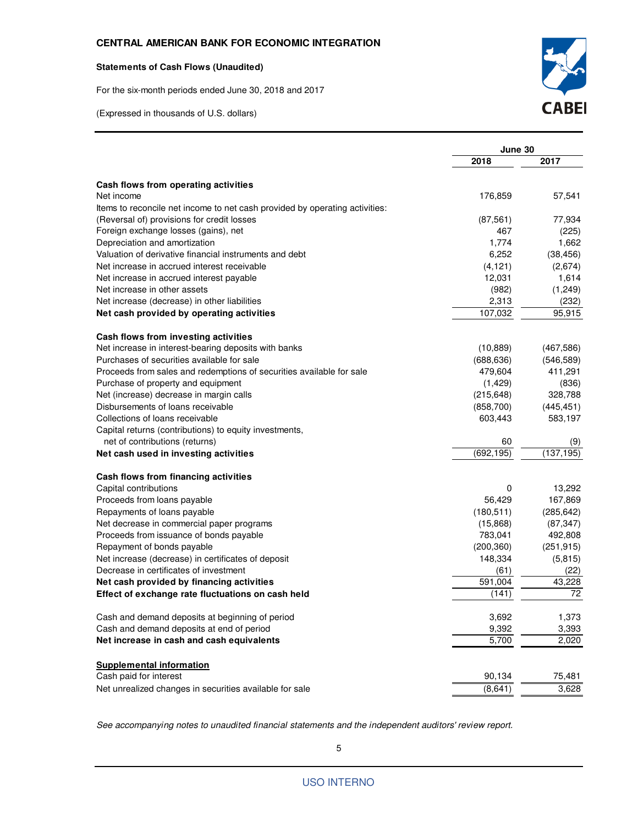#### **Statements of Cash Flows (Unaudited)**

For the six-month periods ended June 30, 2018 and 2017

(Expressed in thousands of U.S. dollars)



| 2018<br>2017<br>Cash flows from operating activities<br>57,541<br>176,859<br>77,934<br>(87, 561)<br>467<br>(225)<br>1,774<br>1,662<br>Valuation of derivative financial instruments and debt<br>6,252<br>(38, 456)<br>(2,674)<br>Net increase in accrued interest receivable<br>(4, 121)<br>12,031<br>1,614<br>(982)<br>(1,249)<br>2,313<br>(232)<br>107,032<br>95,915<br>Cash flows from investing activities<br>(10, 889)<br>(467, 586)<br>(546, 589)<br>(688, 636)<br>479,604<br>411,291<br>(836)<br>Purchase of property and equipment<br>(1, 429)<br>328,788<br>(215, 648)<br>Disbursements of loans receivable<br>(445, 451)<br>(858, 700)<br>583,197<br>603,443<br>Capital returns (contributions) to equity investments,<br>net of contributions (returns)<br>60<br>(9)<br>(692, 195)<br>(137, 195)<br>Cash flows from financing activities<br>13,292<br>0<br>56,429<br>167,869<br>(285, 642)<br>Repayments of loans payable<br>(180, 511)<br>(87, 347)<br>(15,868)<br>783,041<br>492,808<br>(200, 360)<br>(251, 915)<br>148,334<br>(5, 815)<br>(61)<br>(22)<br>591,004<br>43,228<br>72<br>(141)<br>Cash and demand deposits at beginning of period<br>3,692<br>1,373<br>9,392<br>Cash and demand deposits at end of period<br>3,393<br>5,700<br>2,020<br><b>Supplemental information</b><br>Cash paid for interest<br>90,134<br>75,481 |                                                                             | June 30 |       |
|-------------------------------------------------------------------------------------------------------------------------------------------------------------------------------------------------------------------------------------------------------------------------------------------------------------------------------------------------------------------------------------------------------------------------------------------------------------------------------------------------------------------------------------------------------------------------------------------------------------------------------------------------------------------------------------------------------------------------------------------------------------------------------------------------------------------------------------------------------------------------------------------------------------------------------------------------------------------------------------------------------------------------------------------------------------------------------------------------------------------------------------------------------------------------------------------------------------------------------------------------------------------------------------------------------------------------------------------------|-----------------------------------------------------------------------------|---------|-------|
|                                                                                                                                                                                                                                                                                                                                                                                                                                                                                                                                                                                                                                                                                                                                                                                                                                                                                                                                                                                                                                                                                                                                                                                                                                                                                                                                                 |                                                                             |         |       |
|                                                                                                                                                                                                                                                                                                                                                                                                                                                                                                                                                                                                                                                                                                                                                                                                                                                                                                                                                                                                                                                                                                                                                                                                                                                                                                                                                 |                                                                             |         |       |
|                                                                                                                                                                                                                                                                                                                                                                                                                                                                                                                                                                                                                                                                                                                                                                                                                                                                                                                                                                                                                                                                                                                                                                                                                                                                                                                                                 | Net income                                                                  |         |       |
|                                                                                                                                                                                                                                                                                                                                                                                                                                                                                                                                                                                                                                                                                                                                                                                                                                                                                                                                                                                                                                                                                                                                                                                                                                                                                                                                                 | Items to reconcile net income to net cash provided by operating activities: |         |       |
|                                                                                                                                                                                                                                                                                                                                                                                                                                                                                                                                                                                                                                                                                                                                                                                                                                                                                                                                                                                                                                                                                                                                                                                                                                                                                                                                                 | (Reversal of) provisions for credit losses                                  |         |       |
|                                                                                                                                                                                                                                                                                                                                                                                                                                                                                                                                                                                                                                                                                                                                                                                                                                                                                                                                                                                                                                                                                                                                                                                                                                                                                                                                                 | Foreign exchange losses (gains), net                                        |         |       |
|                                                                                                                                                                                                                                                                                                                                                                                                                                                                                                                                                                                                                                                                                                                                                                                                                                                                                                                                                                                                                                                                                                                                                                                                                                                                                                                                                 | Depreciation and amortization                                               |         |       |
|                                                                                                                                                                                                                                                                                                                                                                                                                                                                                                                                                                                                                                                                                                                                                                                                                                                                                                                                                                                                                                                                                                                                                                                                                                                                                                                                                 |                                                                             |         |       |
|                                                                                                                                                                                                                                                                                                                                                                                                                                                                                                                                                                                                                                                                                                                                                                                                                                                                                                                                                                                                                                                                                                                                                                                                                                                                                                                                                 |                                                                             |         |       |
|                                                                                                                                                                                                                                                                                                                                                                                                                                                                                                                                                                                                                                                                                                                                                                                                                                                                                                                                                                                                                                                                                                                                                                                                                                                                                                                                                 | Net increase in accrued interest payable                                    |         |       |
|                                                                                                                                                                                                                                                                                                                                                                                                                                                                                                                                                                                                                                                                                                                                                                                                                                                                                                                                                                                                                                                                                                                                                                                                                                                                                                                                                 | Net increase in other assets                                                |         |       |
|                                                                                                                                                                                                                                                                                                                                                                                                                                                                                                                                                                                                                                                                                                                                                                                                                                                                                                                                                                                                                                                                                                                                                                                                                                                                                                                                                 | Net increase (decrease) in other liabilities                                |         |       |
|                                                                                                                                                                                                                                                                                                                                                                                                                                                                                                                                                                                                                                                                                                                                                                                                                                                                                                                                                                                                                                                                                                                                                                                                                                                                                                                                                 | Net cash provided by operating activities                                   |         |       |
|                                                                                                                                                                                                                                                                                                                                                                                                                                                                                                                                                                                                                                                                                                                                                                                                                                                                                                                                                                                                                                                                                                                                                                                                                                                                                                                                                 |                                                                             |         |       |
|                                                                                                                                                                                                                                                                                                                                                                                                                                                                                                                                                                                                                                                                                                                                                                                                                                                                                                                                                                                                                                                                                                                                                                                                                                                                                                                                                 | Net increase in interest-bearing deposits with banks                        |         |       |
|                                                                                                                                                                                                                                                                                                                                                                                                                                                                                                                                                                                                                                                                                                                                                                                                                                                                                                                                                                                                                                                                                                                                                                                                                                                                                                                                                 | Purchases of securities available for sale                                  |         |       |
|                                                                                                                                                                                                                                                                                                                                                                                                                                                                                                                                                                                                                                                                                                                                                                                                                                                                                                                                                                                                                                                                                                                                                                                                                                                                                                                                                 | Proceeds from sales and redemptions of securities available for sale        |         |       |
|                                                                                                                                                                                                                                                                                                                                                                                                                                                                                                                                                                                                                                                                                                                                                                                                                                                                                                                                                                                                                                                                                                                                                                                                                                                                                                                                                 |                                                                             |         |       |
|                                                                                                                                                                                                                                                                                                                                                                                                                                                                                                                                                                                                                                                                                                                                                                                                                                                                                                                                                                                                                                                                                                                                                                                                                                                                                                                                                 | Net (increase) decrease in margin calls                                     |         |       |
|                                                                                                                                                                                                                                                                                                                                                                                                                                                                                                                                                                                                                                                                                                                                                                                                                                                                                                                                                                                                                                                                                                                                                                                                                                                                                                                                                 |                                                                             |         |       |
|                                                                                                                                                                                                                                                                                                                                                                                                                                                                                                                                                                                                                                                                                                                                                                                                                                                                                                                                                                                                                                                                                                                                                                                                                                                                                                                                                 | Collections of loans receivable                                             |         |       |
|                                                                                                                                                                                                                                                                                                                                                                                                                                                                                                                                                                                                                                                                                                                                                                                                                                                                                                                                                                                                                                                                                                                                                                                                                                                                                                                                                 |                                                                             |         |       |
|                                                                                                                                                                                                                                                                                                                                                                                                                                                                                                                                                                                                                                                                                                                                                                                                                                                                                                                                                                                                                                                                                                                                                                                                                                                                                                                                                 |                                                                             |         |       |
|                                                                                                                                                                                                                                                                                                                                                                                                                                                                                                                                                                                                                                                                                                                                                                                                                                                                                                                                                                                                                                                                                                                                                                                                                                                                                                                                                 | Net cash used in investing activities                                       |         |       |
|                                                                                                                                                                                                                                                                                                                                                                                                                                                                                                                                                                                                                                                                                                                                                                                                                                                                                                                                                                                                                                                                                                                                                                                                                                                                                                                                                 |                                                                             |         |       |
|                                                                                                                                                                                                                                                                                                                                                                                                                                                                                                                                                                                                                                                                                                                                                                                                                                                                                                                                                                                                                                                                                                                                                                                                                                                                                                                                                 | Capital contributions                                                       |         |       |
|                                                                                                                                                                                                                                                                                                                                                                                                                                                                                                                                                                                                                                                                                                                                                                                                                                                                                                                                                                                                                                                                                                                                                                                                                                                                                                                                                 | Proceeds from loans payable                                                 |         |       |
|                                                                                                                                                                                                                                                                                                                                                                                                                                                                                                                                                                                                                                                                                                                                                                                                                                                                                                                                                                                                                                                                                                                                                                                                                                                                                                                                                 |                                                                             |         |       |
|                                                                                                                                                                                                                                                                                                                                                                                                                                                                                                                                                                                                                                                                                                                                                                                                                                                                                                                                                                                                                                                                                                                                                                                                                                                                                                                                                 | Net decrease in commercial paper programs                                   |         |       |
|                                                                                                                                                                                                                                                                                                                                                                                                                                                                                                                                                                                                                                                                                                                                                                                                                                                                                                                                                                                                                                                                                                                                                                                                                                                                                                                                                 | Proceeds from issuance of bonds payable                                     |         |       |
|                                                                                                                                                                                                                                                                                                                                                                                                                                                                                                                                                                                                                                                                                                                                                                                                                                                                                                                                                                                                                                                                                                                                                                                                                                                                                                                                                 | Repayment of bonds payable                                                  |         |       |
|                                                                                                                                                                                                                                                                                                                                                                                                                                                                                                                                                                                                                                                                                                                                                                                                                                                                                                                                                                                                                                                                                                                                                                                                                                                                                                                                                 | Net increase (decrease) in certificates of deposit                          |         |       |
|                                                                                                                                                                                                                                                                                                                                                                                                                                                                                                                                                                                                                                                                                                                                                                                                                                                                                                                                                                                                                                                                                                                                                                                                                                                                                                                                                 | Decrease in certificates of investment                                      |         |       |
|                                                                                                                                                                                                                                                                                                                                                                                                                                                                                                                                                                                                                                                                                                                                                                                                                                                                                                                                                                                                                                                                                                                                                                                                                                                                                                                                                 | Net cash provided by financing activities                                   |         |       |
|                                                                                                                                                                                                                                                                                                                                                                                                                                                                                                                                                                                                                                                                                                                                                                                                                                                                                                                                                                                                                                                                                                                                                                                                                                                                                                                                                 | Effect of exchange rate fluctuations on cash held                           |         |       |
|                                                                                                                                                                                                                                                                                                                                                                                                                                                                                                                                                                                                                                                                                                                                                                                                                                                                                                                                                                                                                                                                                                                                                                                                                                                                                                                                                 |                                                                             |         |       |
|                                                                                                                                                                                                                                                                                                                                                                                                                                                                                                                                                                                                                                                                                                                                                                                                                                                                                                                                                                                                                                                                                                                                                                                                                                                                                                                                                 |                                                                             |         |       |
|                                                                                                                                                                                                                                                                                                                                                                                                                                                                                                                                                                                                                                                                                                                                                                                                                                                                                                                                                                                                                                                                                                                                                                                                                                                                                                                                                 | Net increase in cash and cash equivalents                                   |         |       |
|                                                                                                                                                                                                                                                                                                                                                                                                                                                                                                                                                                                                                                                                                                                                                                                                                                                                                                                                                                                                                                                                                                                                                                                                                                                                                                                                                 |                                                                             |         |       |
|                                                                                                                                                                                                                                                                                                                                                                                                                                                                                                                                                                                                                                                                                                                                                                                                                                                                                                                                                                                                                                                                                                                                                                                                                                                                                                                                                 |                                                                             |         |       |
|                                                                                                                                                                                                                                                                                                                                                                                                                                                                                                                                                                                                                                                                                                                                                                                                                                                                                                                                                                                                                                                                                                                                                                                                                                                                                                                                                 | Net unrealized changes in securities available for sale                     | (8,641) | 3,628 |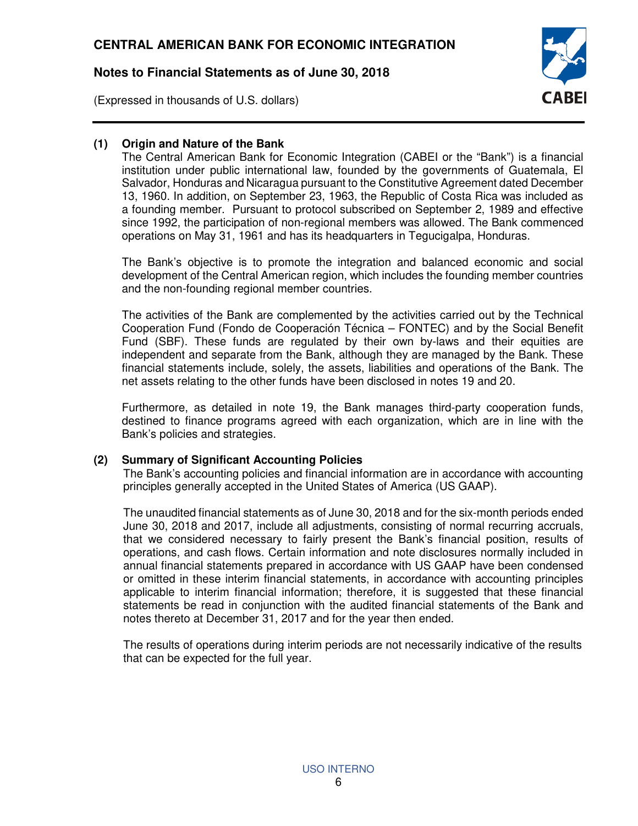(Expressed in thousands of U.S. dollars)



# **(1) Origin and Nature of the Bank**

The Central American Bank for Economic Integration (CABEI or the "Bank") is a financial institution under public international law, founded by the governments of Guatemala, El Salvador, Honduras and Nicaragua pursuant to the Constitutive Agreement dated December 13, 1960. In addition, on September 23, 1963, the Republic of Costa Rica was included as a founding member. Pursuant to protocol subscribed on September 2, 1989 and effective since 1992, the participation of non-regional members was allowed. The Bank commenced operations on May 31, 1961 and has its headquarters in Tegucigalpa, Honduras.

The Bank's objective is to promote the integration and balanced economic and social development of the Central American region, which includes the founding member countries and the non-founding regional member countries.

The activities of the Bank are complemented by the activities carried out by the Technical Cooperation Fund (Fondo de Cooperación Técnica – FONTEC) and by the Social Benefit Fund (SBF). These funds are regulated by their own by-laws and their equities are independent and separate from the Bank, although they are managed by the Bank. These financial statements include, solely, the assets, liabilities and operations of the Bank. The net assets relating to the other funds have been disclosed in notes 19 and 20.

Furthermore, as detailed in note 19, the Bank manages third-party cooperation funds, destined to finance programs agreed with each organization, which are in line with the Bank's policies and strategies.

## **(2) Summary of Significant Accounting Policies**

The Bank's accounting policies and financial information are in accordance with accounting principles generally accepted in the United States of America (US GAAP).

The unaudited financial statements as of June 30, 2018 and for the six-month periods ended June 30, 2018 and 2017, include all adjustments, consisting of normal recurring accruals, that we considered necessary to fairly present the Bank's financial position, results of operations, and cash flows. Certain information and note disclosures normally included in annual financial statements prepared in accordance with US GAAP have been condensed or omitted in these interim financial statements, in accordance with accounting principles applicable to interim financial information; therefore, it is suggested that these financial statements be read in conjunction with the audited financial statements of the Bank and notes thereto at December 31, 2017 and for the year then ended.

The results of operations during interim periods are not necessarily indicative of the results that can be expected for the full year.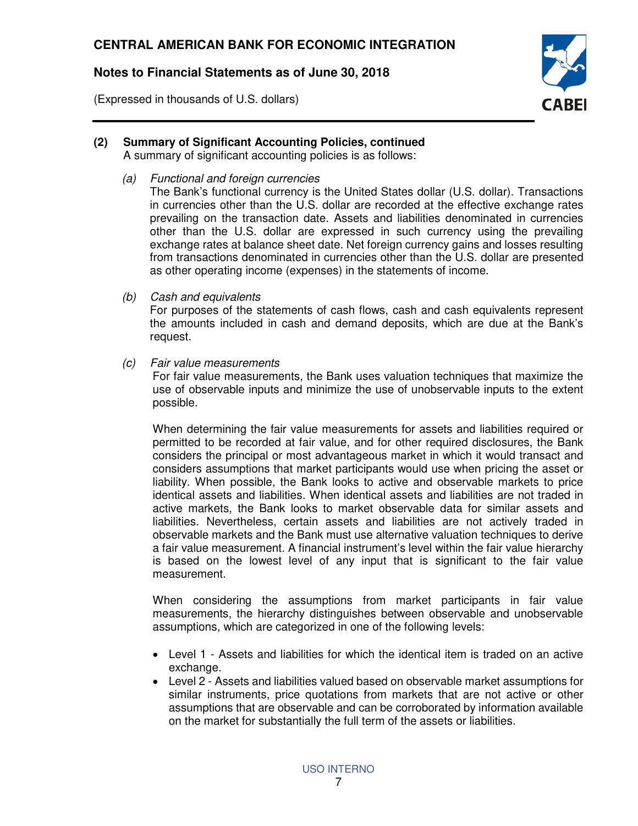(Expressed in thousands of U.S. dollars)



## **(2) Summary of Significant Accounting Policies, continued**

A summary of significant accounting policies is as follows:

(a) Functional and foreign currencies

The Bank's functional currency is the United States dollar (U.S. dollar). Transactions in currencies other than the U.S. dollar are recorded at the effective exchange rates prevailing on the transaction date. Assets and liabilities denominated in currencies other than the U.S. dollar are expressed in such currency using the prevailing exchange rates at balance sheet date. Net foreign currency gains and losses resulting from transactions denominated in currencies other than the U.S. dollar are presented as other operating income (expenses) in the statements of income.

(b) Cash and equivalents

For purposes of the statements of cash flows, cash and cash equivalents represent the amounts included in cash and demand deposits, which are due at the Bank's request.

(c) Fair value measurements

For fair value measurements, the Bank uses valuation techniques that maximize the use of observable inputs and minimize the use of unobservable inputs to the extent possible.

When determining the fair value measurements for assets and liabilities required or permitted to be recorded at fair value, and for other required disclosures, the Bank considers the principal or most advantageous market in which it would transact and considers assumptions that market participants would use when pricing the asset or liability. When possible, the Bank looks to active and observable markets to price identical assets and liabilities. When identical assets and liabilities are not traded in active markets, the Bank looks to market observable data for similar assets and liabilities. Nevertheless, certain assets and liabilities are not actively traded in observable markets and the Bank must use alternative valuation techniques to derive a fair value measurement. A financial instrument's level within the fair value hierarchy is based on the lowest level of any input that is significant to the fair value measurement.

When considering the assumptions from market participants in fair value measurements, the hierarchy distinguishes between observable and unobservable assumptions, which are categorized in one of the following levels:

- Level 1 Assets and liabilities for which the identical item is traded on an active exchange.
- Level 2 Assets and liabilities valued based on observable market assumptions for similar instruments, price quotations from markets that are not active or other assumptions that are observable and can be corroborated by information available on the market for substantially the full term of the assets or liabilities.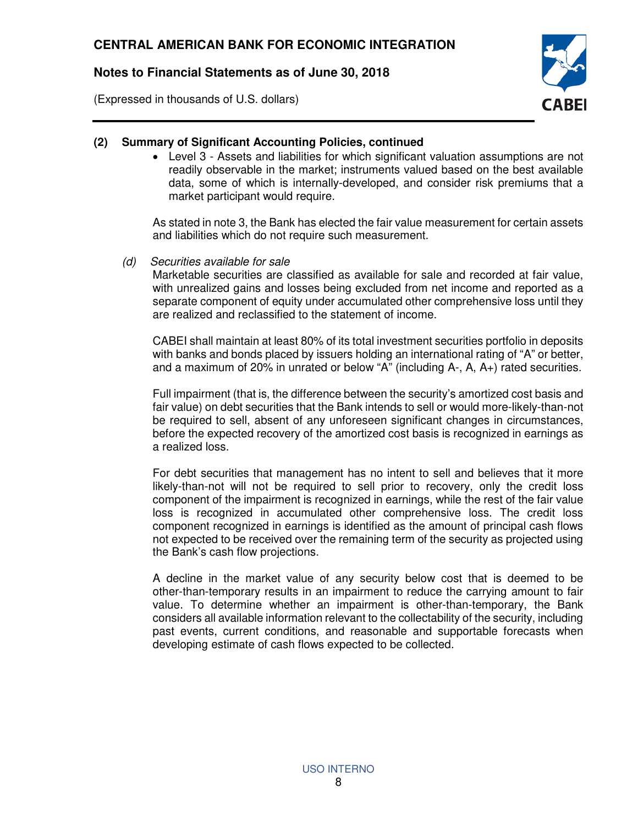(Expressed in thousands of U.S. dollars)



## **(2) Summary of Significant Accounting Policies, continued**

• Level 3 - Assets and liabilities for which significant valuation assumptions are not readily observable in the market; instruments valued based on the best available data, some of which is internally-developed, and consider risk premiums that a market participant would require.

As stated in note 3, the Bank has elected the fair value measurement for certain assets and liabilities which do not require such measurement.

(d) Securities available for sale

Marketable securities are classified as available for sale and recorded at fair value, with unrealized gains and losses being excluded from net income and reported as a separate component of equity under accumulated other comprehensive loss until they are realized and reclassified to the statement of income.

CABEI shall maintain at least 80% of its total investment securities portfolio in deposits with banks and bonds placed by issuers holding an international rating of "A" or better, and a maximum of 20% in unrated or below "A" (including A-, A, A+) rated securities.

Full impairment (that is, the difference between the security's amortized cost basis and fair value) on debt securities that the Bank intends to sell or would more-likely-than-not be required to sell, absent of any unforeseen significant changes in circumstances, before the expected recovery of the amortized cost basis is recognized in earnings as a realized loss.

For debt securities that management has no intent to sell and believes that it more likely-than-not will not be required to sell prior to recovery, only the credit loss component of the impairment is recognized in earnings, while the rest of the fair value loss is recognized in accumulated other comprehensive loss. The credit loss component recognized in earnings is identified as the amount of principal cash flows not expected to be received over the remaining term of the security as projected using the Bank's cash flow projections.

A decline in the market value of any security below cost that is deemed to be other-than-temporary results in an impairment to reduce the carrying amount to fair value. To determine whether an impairment is other-than-temporary, the Bank considers all available information relevant to the collectability of the security, including past events, current conditions, and reasonable and supportable forecasts when developing estimate of cash flows expected to be collected.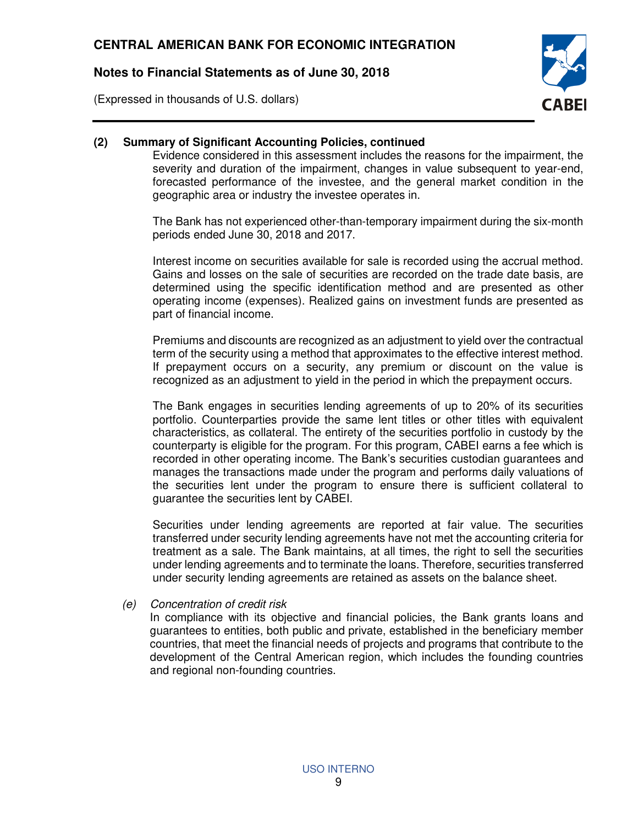(Expressed in thousands of U.S. dollars)



### **(2) Summary of Significant Accounting Policies, continued**

Evidence considered in this assessment includes the reasons for the impairment, the severity and duration of the impairment, changes in value subsequent to year-end, forecasted performance of the investee, and the general market condition in the geographic area or industry the investee operates in.

The Bank has not experienced other-than-temporary impairment during the six-month periods ended June 30, 2018 and 2017.

Interest income on securities available for sale is recorded using the accrual method. Gains and losses on the sale of securities are recorded on the trade date basis, are determined using the specific identification method and are presented as other operating income (expenses). Realized gains on investment funds are presented as part of financial income.

Premiums and discounts are recognized as an adjustment to yield over the contractual term of the security using a method that approximates to the effective interest method. If prepayment occurs on a security, any premium or discount on the value is recognized as an adjustment to yield in the period in which the prepayment occurs.

The Bank engages in securities lending agreements of up to 20% of its securities portfolio. Counterparties provide the same lent titles or other titles with equivalent characteristics, as collateral. The entirety of the securities portfolio in custody by the counterparty is eligible for the program. For this program, CABEI earns a fee which is recorded in other operating income. The Bank's securities custodian guarantees and manages the transactions made under the program and performs daily valuations of the securities lent under the program to ensure there is sufficient collateral to guarantee the securities lent by CABEI.

Securities under lending agreements are reported at fair value. The securities transferred under security lending agreements have not met the accounting criteria for treatment as a sale. The Bank maintains, at all times, the right to sell the securities under lending agreements and to terminate the loans. Therefore, securities transferred under security lending agreements are retained as assets on the balance sheet.

(e) Concentration of credit risk

In compliance with its objective and financial policies, the Bank grants loans and guarantees to entities, both public and private, established in the beneficiary member countries, that meet the financial needs of projects and programs that contribute to the development of the Central American region, which includes the founding countries and regional non-founding countries.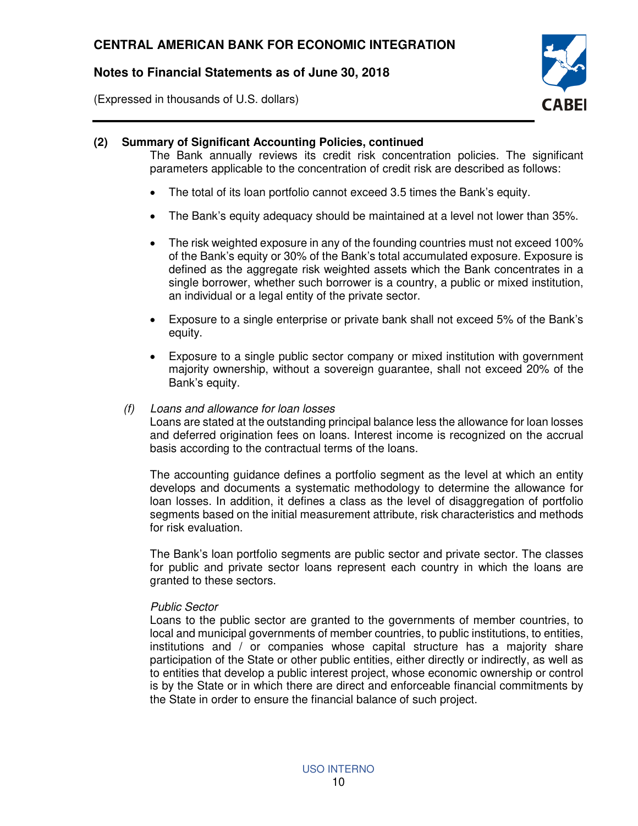(Expressed in thousands of U.S. dollars)



#### **(2) Summary of Significant Accounting Policies, continued**

The Bank annually reviews its credit risk concentration policies. The significant parameters applicable to the concentration of credit risk are described as follows:

- The total of its loan portfolio cannot exceed 3.5 times the Bank's equity.
- The Bank's equity adequacy should be maintained at a level not lower than 35%.
- The risk weighted exposure in any of the founding countries must not exceed 100% of the Bank's equity or 30% of the Bank's total accumulated exposure. Exposure is defined as the aggregate risk weighted assets which the Bank concentrates in a single borrower, whether such borrower is a country, a public or mixed institution, an individual or a legal entity of the private sector.
- Exposure to a single enterprise or private bank shall not exceed 5% of the Bank's equity.
- Exposure to a single public sector company or mixed institution with government majority ownership, without a sovereign guarantee, shall not exceed 20% of the Bank's equity.

#### (f) Loans and allowance for loan losses

Loans are stated at the outstanding principal balance less the allowance for loan losses and deferred origination fees on loans. Interest income is recognized on the accrual basis according to the contractual terms of the loans.

The accounting guidance defines a portfolio segment as the level at which an entity develops and documents a systematic methodology to determine the allowance for loan losses. In addition, it defines a class as the level of disaggregation of portfolio segments based on the initial measurement attribute, risk characteristics and methods for risk evaluation.

The Bank's loan portfolio segments are public sector and private sector. The classes for public and private sector loans represent each country in which the loans are granted to these sectors.

#### Public Sector

Loans to the public sector are granted to the governments of member countries, to local and municipal governments of member countries, to public institutions, to entities, institutions and / or companies whose capital structure has a majority share participation of the State or other public entities, either directly or indirectly, as well as to entities that develop a public interest project, whose economic ownership or control is by the State or in which there are direct and enforceable financial commitments by the State in order to ensure the financial balance of such project.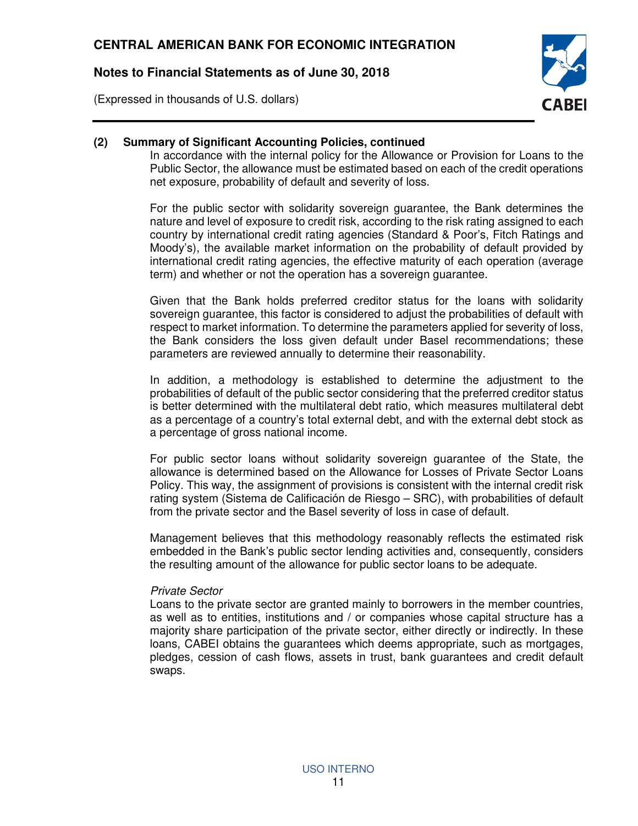(Expressed in thousands of U.S. dollars)



### **(2) Summary of Significant Accounting Policies, continued**

In accordance with the internal policy for the Allowance or Provision for Loans to the Public Sector, the allowance must be estimated based on each of the credit operations net exposure, probability of default and severity of loss.

For the public sector with solidarity sovereign guarantee, the Bank determines the nature and level of exposure to credit risk, according to the risk rating assigned to each country by international credit rating agencies (Standard & Poor's, Fitch Ratings and Moody's), the available market information on the probability of default provided by international credit rating agencies, the effective maturity of each operation (average term) and whether or not the operation has a sovereign guarantee.

Given that the Bank holds preferred creditor status for the loans with solidarity sovereign guarantee, this factor is considered to adjust the probabilities of default with respect to market information. To determine the parameters applied for severity of loss, the Bank considers the loss given default under Basel recommendations; these parameters are reviewed annually to determine their reasonability.

In addition, a methodology is established to determine the adjustment to the probabilities of default of the public sector considering that the preferred creditor status is better determined with the multilateral debt ratio, which measures multilateral debt as a percentage of a country's total external debt, and with the external debt stock as a percentage of gross national income.

For public sector loans without solidarity sovereign guarantee of the State, the allowance is determined based on the Allowance for Losses of Private Sector Loans Policy. This way, the assignment of provisions is consistent with the internal credit risk rating system (Sistema de Calificación de Riesgo – SRC), with probabilities of default from the private sector and the Basel severity of loss in case of default.

Management believes that this methodology reasonably reflects the estimated risk embedded in the Bank's public sector lending activities and, consequently, considers the resulting amount of the allowance for public sector loans to be adequate.

#### Private Sector

Loans to the private sector are granted mainly to borrowers in the member countries, as well as to entities, institutions and / or companies whose capital structure has a majority share participation of the private sector, either directly or indirectly. In these loans, CABEI obtains the guarantees which deems appropriate, such as mortgages, pledges, cession of cash flows, assets in trust, bank guarantees and credit default swaps.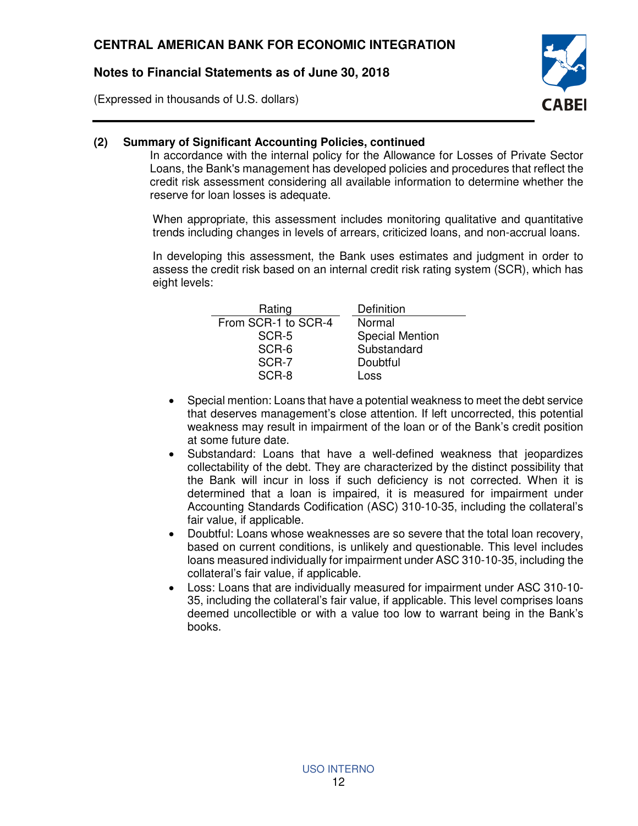(Expressed in thousands of U.S. dollars)



## **(2) Summary of Significant Accounting Policies, continued**

In accordance with the internal policy for the Allowance for Losses of Private Sector Loans, the Bank's management has developed policies and procedures that reflect the credit risk assessment considering all available information to determine whether the reserve for loan losses is adequate.

When appropriate, this assessment includes monitoring qualitative and quantitative trends including changes in levels of arrears, criticized loans, and non-accrual loans.

In developing this assessment, the Bank uses estimates and judgment in order to assess the credit risk based on an internal credit risk rating system (SCR), which has eight levels:

| Definition             |
|------------------------|
| Normal                 |
| <b>Special Mention</b> |
| Substandard            |
| Doubtful               |
| Loss                   |
|                        |

- Special mention: Loans that have a potential weakness to meet the debt service that deserves management's close attention. If left uncorrected, this potential weakness may result in impairment of the loan or of the Bank's credit position at some future date.
- Substandard: Loans that have a well-defined weakness that jeopardizes collectability of the debt. They are characterized by the distinct possibility that the Bank will incur in loss if such deficiency is not corrected. When it is determined that a loan is impaired, it is measured for impairment under Accounting Standards Codification (ASC) 310-10-35, including the collateral's fair value, if applicable.
- Doubtful: Loans whose weaknesses are so severe that the total loan recovery, based on current conditions, is unlikely and questionable. This level includes loans measured individually for impairment under ASC 310-10-35, including the collateral's fair value, if applicable.
- Loss: Loans that are individually measured for impairment under ASC 310-10- 35, including the collateral's fair value, if applicable. This level comprises loans deemed uncollectible or with a value too low to warrant being in the Bank's books.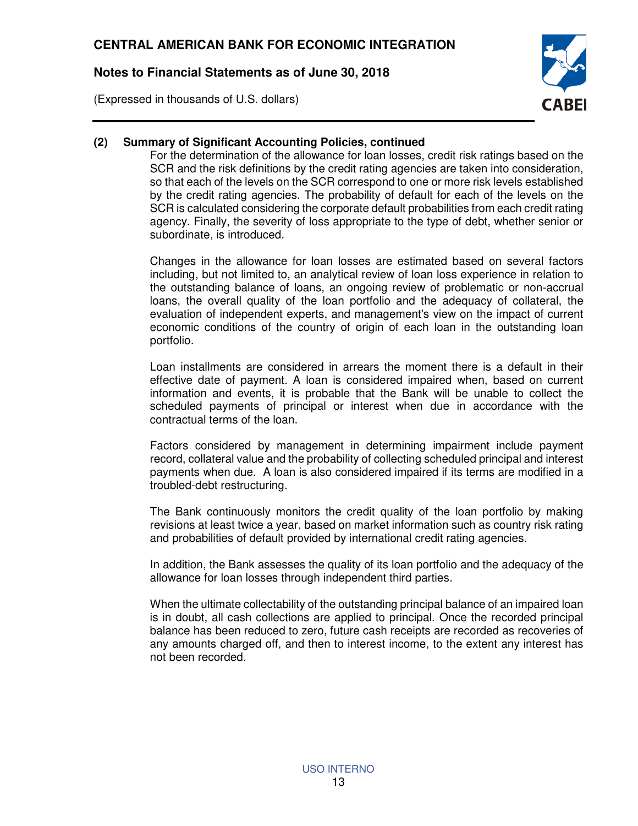(Expressed in thousands of U.S. dollars)



## **(2) Summary of Significant Accounting Policies, continued**

For the determination of the allowance for loan losses, credit risk ratings based on the SCR and the risk definitions by the credit rating agencies are taken into consideration, so that each of the levels on the SCR correspond to one or more risk levels established by the credit rating agencies. The probability of default for each of the levels on the SCR is calculated considering the corporate default probabilities from each credit rating agency. Finally, the severity of loss appropriate to the type of debt, whether senior or subordinate, is introduced.

Changes in the allowance for loan losses are estimated based on several factors including, but not limited to, an analytical review of loan loss experience in relation to the outstanding balance of loans, an ongoing review of problematic or non-accrual loans, the overall quality of the loan portfolio and the adequacy of collateral, the evaluation of independent experts, and management's view on the impact of current economic conditions of the country of origin of each loan in the outstanding loan portfolio.

Loan installments are considered in arrears the moment there is a default in their effective date of payment. A loan is considered impaired when, based on current information and events, it is probable that the Bank will be unable to collect the scheduled payments of principal or interest when due in accordance with the contractual terms of the loan.

Factors considered by management in determining impairment include payment record, collateral value and the probability of collecting scheduled principal and interest payments when due. A loan is also considered impaired if its terms are modified in a troubled-debt restructuring.

The Bank continuously monitors the credit quality of the loan portfolio by making revisions at least twice a year, based on market information such as country risk rating and probabilities of default provided by international credit rating agencies.

In addition, the Bank assesses the quality of its loan portfolio and the adequacy of the allowance for loan losses through independent third parties.

When the ultimate collectability of the outstanding principal balance of an impaired loan is in doubt, all cash collections are applied to principal. Once the recorded principal balance has been reduced to zero, future cash receipts are recorded as recoveries of any amounts charged off, and then to interest income, to the extent any interest has not been recorded.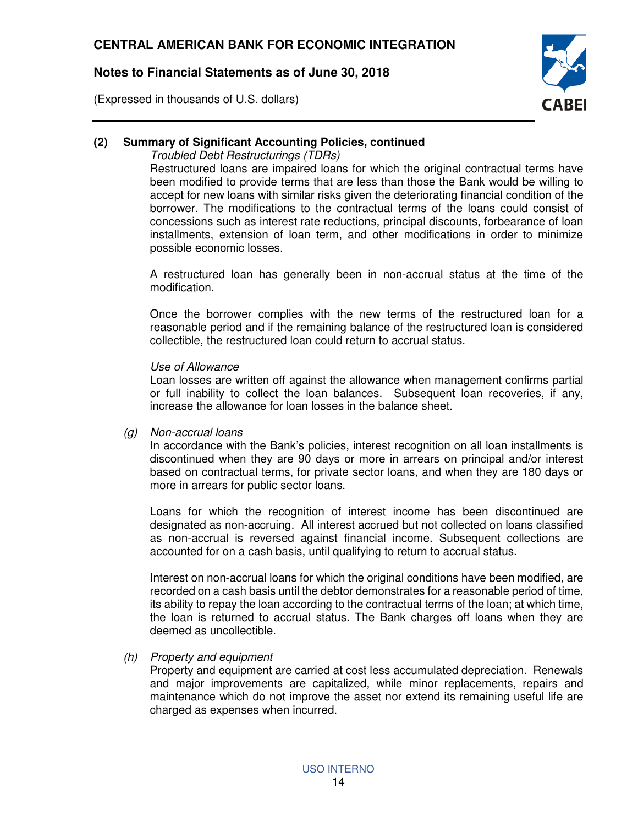(Expressed in thousands of U.S. dollars)



## **(2) Summary of Significant Accounting Policies, continued**

Troubled Debt Restructurings (TDRs)

Restructured loans are impaired loans for which the original contractual terms have been modified to provide terms that are less than those the Bank would be willing to accept for new loans with similar risks given the deteriorating financial condition of the borrower. The modifications to the contractual terms of the loans could consist of concessions such as interest rate reductions, principal discounts, forbearance of loan installments, extension of loan term, and other modifications in order to minimize possible economic losses.

A restructured loan has generally been in non-accrual status at the time of the modification.

Once the borrower complies with the new terms of the restructured loan for a reasonable period and if the remaining balance of the restructured loan is considered collectible, the restructured loan could return to accrual status.

#### Use of Allowance

Loan losses are written off against the allowance when management confirms partial or full inability to collect the loan balances. Subsequent loan recoveries, if any, increase the allowance for loan losses in the balance sheet.

(g) Non-accrual loans

In accordance with the Bank's policies, interest recognition on all loan installments is discontinued when they are 90 days or more in arrears on principal and/or interest based on contractual terms, for private sector loans, and when they are 180 days or more in arrears for public sector loans.

Loans for which the recognition of interest income has been discontinued are designated as non-accruing. All interest accrued but not collected on loans classified as non-accrual is reversed against financial income. Subsequent collections are accounted for on a cash basis, until qualifying to return to accrual status.

Interest on non-accrual loans for which the original conditions have been modified, are recorded on a cash basis until the debtor demonstrates for a reasonable period of time, its ability to repay the loan according to the contractual terms of the loan; at which time, the loan is returned to accrual status. The Bank charges off loans when they are deemed as uncollectible.

(h) Property and equipment

Property and equipment are carried at cost less accumulated depreciation. Renewals and major improvements are capitalized, while minor replacements, repairs and maintenance which do not improve the asset nor extend its remaining useful life are charged as expenses when incurred.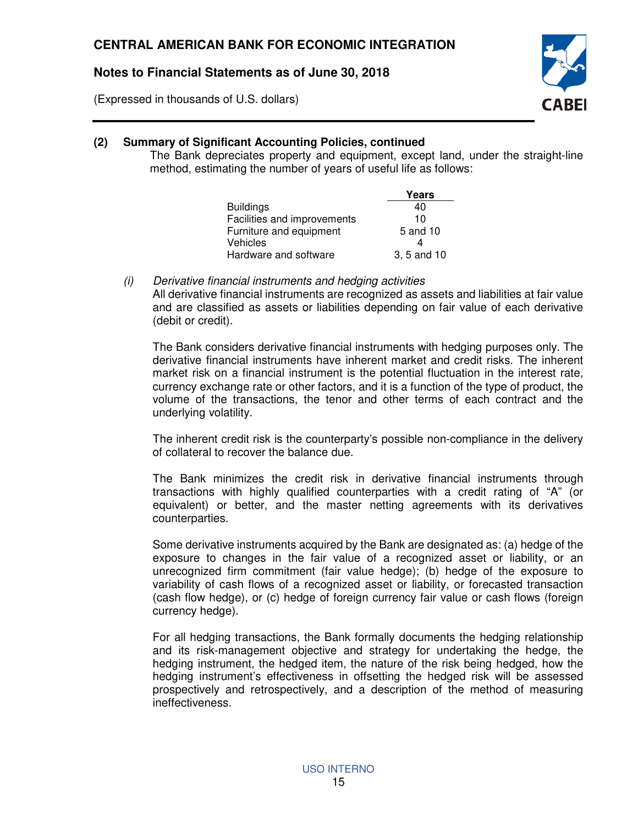(Expressed in thousands of U.S. dollars)



## **(2) Summary of Significant Accounting Policies, continued**

The Bank depreciates property and equipment, except land, under the straight-line method, estimating the number of years of useful life as follows:

|                             | Years       |
|-----------------------------|-------------|
| <b>Buildings</b>            | 40          |
| Facilities and improvements | 10          |
| Furniture and equipment     | 5 and 10    |
| <b>Vehicles</b>             |             |
| Hardware and software       | 3, 5 and 10 |

(i) Derivative financial instruments and hedging activities

All derivative financial instruments are recognized as assets and liabilities at fair value and are classified as assets or liabilities depending on fair value of each derivative (debit or credit).

The Bank considers derivative financial instruments with hedging purposes only. The derivative financial instruments have inherent market and credit risks. The inherent market risk on a financial instrument is the potential fluctuation in the interest rate, currency exchange rate or other factors, and it is a function of the type of product, the volume of the transactions, the tenor and other terms of each contract and the underlying volatility.

The inherent credit risk is the counterparty's possible non-compliance in the delivery of collateral to recover the balance due.

The Bank minimizes the credit risk in derivative financial instruments through transactions with highly qualified counterparties with a credit rating of "A" (or equivalent) or better, and the master netting agreements with its derivatives counterparties.

Some derivative instruments acquired by the Bank are designated as: (a) hedge of the exposure to changes in the fair value of a recognized asset or liability, or an unrecognized firm commitment (fair value hedge); (b) hedge of the exposure to variability of cash flows of a recognized asset or liability, or forecasted transaction (cash flow hedge), or (c) hedge of foreign currency fair value or cash flows (foreign currency hedge).

For all hedging transactions, the Bank formally documents the hedging relationship and its risk-management objective and strategy for undertaking the hedge, the hedging instrument, the hedged item, the nature of the risk being hedged, how the hedging instrument's effectiveness in offsetting the hedged risk will be assessed prospectively and retrospectively, and a description of the method of measuring ineffectiveness.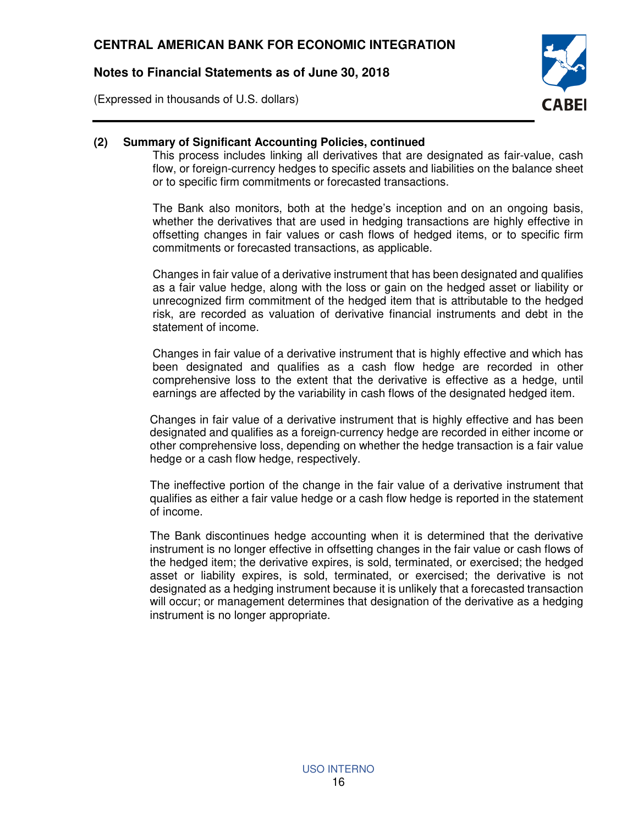(Expressed in thousands of U.S. dollars)



### **(2) Summary of Significant Accounting Policies, continued**

This process includes linking all derivatives that are designated as fair-value, cash flow, or foreign-currency hedges to specific assets and liabilities on the balance sheet or to specific firm commitments or forecasted transactions.

The Bank also monitors, both at the hedge's inception and on an ongoing basis, whether the derivatives that are used in hedging transactions are highly effective in offsetting changes in fair values or cash flows of hedged items, or to specific firm commitments or forecasted transactions, as applicable.

Changes in fair value of a derivative instrument that has been designated and qualifies as a fair value hedge, along with the loss or gain on the hedged asset or liability or unrecognized firm commitment of the hedged item that is attributable to the hedged risk, are recorded as valuation of derivative financial instruments and debt in the statement of income.

Changes in fair value of a derivative instrument that is highly effective and which has been designated and qualifies as a cash flow hedge are recorded in other comprehensive loss to the extent that the derivative is effective as a hedge, until earnings are affected by the variability in cash flows of the designated hedged item.

Changes in fair value of a derivative instrument that is highly effective and has been designated and qualifies as a foreign-currency hedge are recorded in either income or other comprehensive loss, depending on whether the hedge transaction is a fair value hedge or a cash flow hedge, respectively.

The ineffective portion of the change in the fair value of a derivative instrument that qualifies as either a fair value hedge or a cash flow hedge is reported in the statement of income.

The Bank discontinues hedge accounting when it is determined that the derivative instrument is no longer effective in offsetting changes in the fair value or cash flows of the hedged item; the derivative expires, is sold, terminated, or exercised; the hedged asset or liability expires, is sold, terminated, or exercised; the derivative is not designated as a hedging instrument because it is unlikely that a forecasted transaction will occur; or management determines that designation of the derivative as a hedging instrument is no longer appropriate.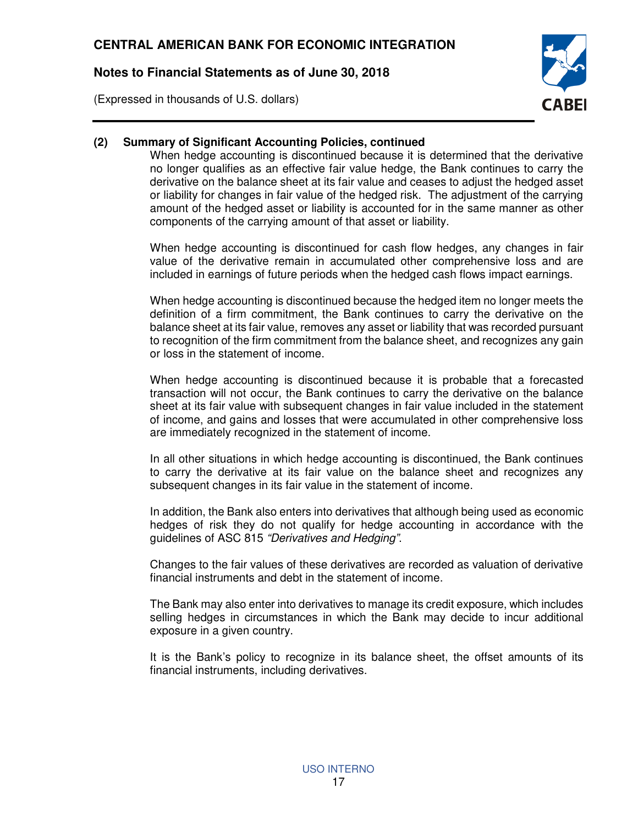(Expressed in thousands of U.S. dollars)



### **(2) Summary of Significant Accounting Policies, continued**

When hedge accounting is discontinued because it is determined that the derivative no longer qualifies as an effective fair value hedge, the Bank continues to carry the derivative on the balance sheet at its fair value and ceases to adjust the hedged asset or liability for changes in fair value of the hedged risk. The adjustment of the carrying amount of the hedged asset or liability is accounted for in the same manner as other components of the carrying amount of that asset or liability.

When hedge accounting is discontinued for cash flow hedges, any changes in fair value of the derivative remain in accumulated other comprehensive loss and are included in earnings of future periods when the hedged cash flows impact earnings.

When hedge accounting is discontinued because the hedged item no longer meets the definition of a firm commitment, the Bank continues to carry the derivative on the balance sheet at its fair value, removes any asset or liability that was recorded pursuant to recognition of the firm commitment from the balance sheet, and recognizes any gain or loss in the statement of income.

When hedge accounting is discontinued because it is probable that a forecasted transaction will not occur, the Bank continues to carry the derivative on the balance sheet at its fair value with subsequent changes in fair value included in the statement of income, and gains and losses that were accumulated in other comprehensive loss are immediately recognized in the statement of income.

In all other situations in which hedge accounting is discontinued, the Bank continues to carry the derivative at its fair value on the balance sheet and recognizes any subsequent changes in its fair value in the statement of income.

In addition, the Bank also enters into derivatives that although being used as economic hedges of risk they do not qualify for hedge accounting in accordance with the guidelines of ASC 815 "Derivatives and Hedging".

Changes to the fair values of these derivatives are recorded as valuation of derivative financial instruments and debt in the statement of income.

The Bank may also enter into derivatives to manage its credit exposure, which includes selling hedges in circumstances in which the Bank may decide to incur additional exposure in a given country.

It is the Bank's policy to recognize in its balance sheet, the offset amounts of its financial instruments, including derivatives.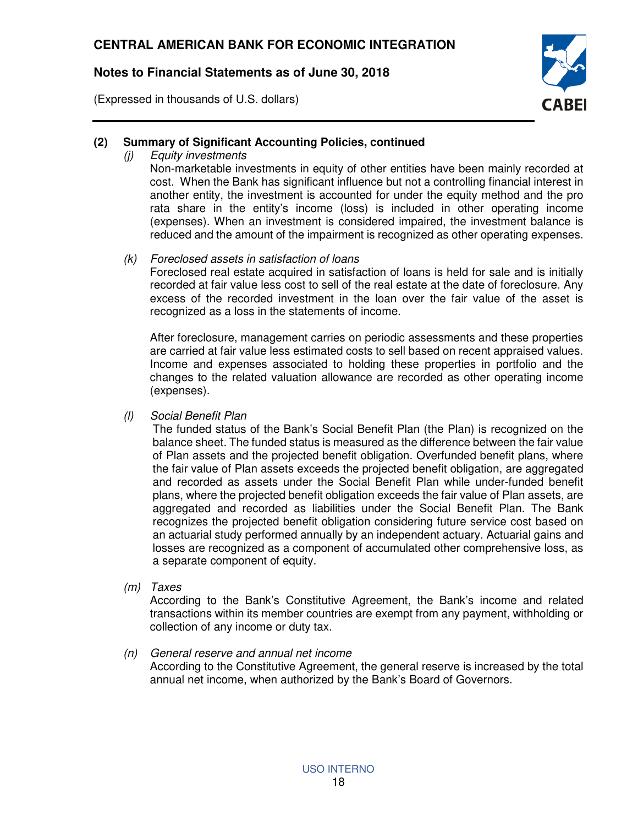(Expressed in thousands of U.S. dollars)



## **(2) Summary of Significant Accounting Policies, continued**

(j) Equity investments

Non-marketable investments in equity of other entities have been mainly recorded at cost. When the Bank has significant influence but not a controlling financial interest in another entity, the investment is accounted for under the equity method and the pro rata share in the entity's income (loss) is included in other operating income (expenses). When an investment is considered impaired, the investment balance is reduced and the amount of the impairment is recognized as other operating expenses.

#### (k) Foreclosed assets in satisfaction of loans

Foreclosed real estate acquired in satisfaction of loans is held for sale and is initially recorded at fair value less cost to sell of the real estate at the date of foreclosure. Any excess of the recorded investment in the loan over the fair value of the asset is recognized as a loss in the statements of income.

After foreclosure, management carries on periodic assessments and these properties are carried at fair value less estimated costs to sell based on recent appraised values. Income and expenses associated to holding these properties in portfolio and the changes to the related valuation allowance are recorded as other operating income (expenses).

(l) Social Benefit Plan

The funded status of the Bank's Social Benefit Plan (the Plan) is recognized on the balance sheet. The funded status is measured as the difference between the fair value of Plan assets and the projected benefit obligation. Overfunded benefit plans, where the fair value of Plan assets exceeds the projected benefit obligation, are aggregated and recorded as assets under the Social Benefit Plan while under-funded benefit plans, where the projected benefit obligation exceeds the fair value of Plan assets, are aggregated and recorded as liabilities under the Social Benefit Plan. The Bank recognizes the projected benefit obligation considering future service cost based on an actuarial study performed annually by an independent actuary. Actuarial gains and losses are recognized as a component of accumulated other comprehensive loss, as a separate component of equity.

(m) Taxes

According to the Bank's Constitutive Agreement, the Bank's income and related transactions within its member countries are exempt from any payment, withholding or collection of any income or duty tax.

## (n) General reserve and annual net income

According to the Constitutive Agreement, the general reserve is increased by the total annual net income, when authorized by the Bank's Board of Governors.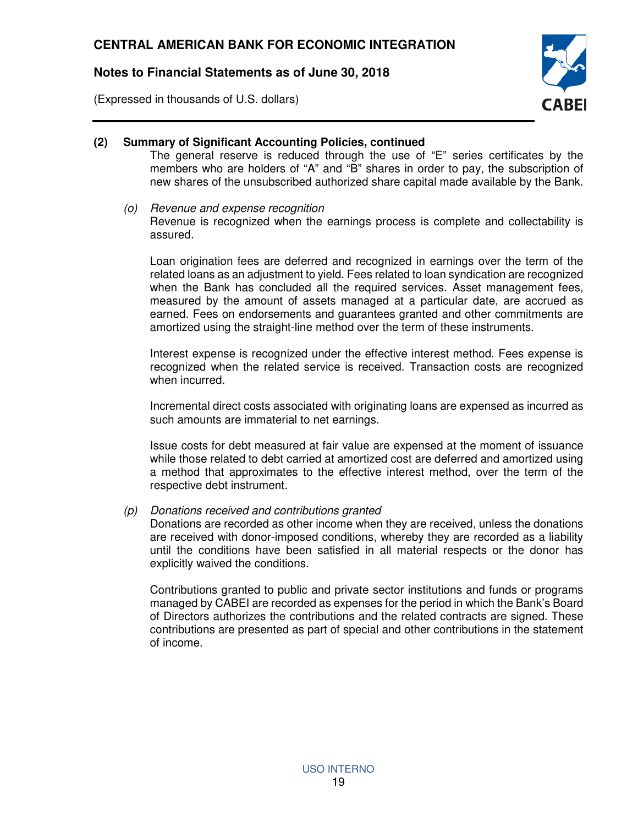(Expressed in thousands of U.S. dollars)



## **(2) Summary of Significant Accounting Policies, continued**

The general reserve is reduced through the use of "E" series certificates by the members who are holders of "A" and "B" shares in order to pay, the subscription of new shares of the unsubscribed authorized share capital made available by the Bank.

#### (o) Revenue and expense recognition

Revenue is recognized when the earnings process is complete and collectability is assured.

Loan origination fees are deferred and recognized in earnings over the term of the related loans as an adjustment to yield. Fees related to loan syndication are recognized when the Bank has concluded all the required services. Asset management fees, measured by the amount of assets managed at a particular date, are accrued as earned. Fees on endorsements and guarantees granted and other commitments are amortized using the straight-line method over the term of these instruments.

Interest expense is recognized under the effective interest method. Fees expense is recognized when the related service is received. Transaction costs are recognized when incurred.

Incremental direct costs associated with originating loans are expensed as incurred as such amounts are immaterial to net earnings.

Issue costs for debt measured at fair value are expensed at the moment of issuance while those related to debt carried at amortized cost are deferred and amortized using a method that approximates to the effective interest method, over the term of the respective debt instrument.

#### (p) Donations received and contributions granted

Donations are recorded as other income when they are received, unless the donations are received with donor-imposed conditions, whereby they are recorded as a liability until the conditions have been satisfied in all material respects or the donor has explicitly waived the conditions.

Contributions granted to public and private sector institutions and funds or programs managed by CABEI are recorded as expenses for the period in which the Bank's Board of Directors authorizes the contributions and the related contracts are signed. These contributions are presented as part of special and other contributions in the statement of income.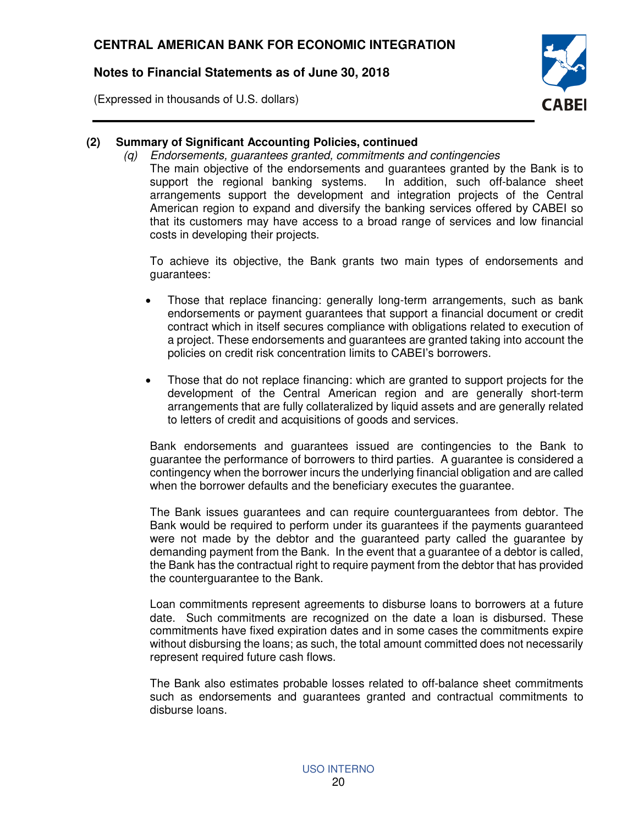(Expressed in thousands of U.S. dollars)



## **(2) Summary of Significant Accounting Policies, continued**

(q) Endorsements, guarantees granted, commitments and contingencies The main objective of the endorsements and guarantees granted by the Bank is to support the regional banking systems. In addition, such off-balance sheet arrangements support the development and integration projects of the Central American region to expand and diversify the banking services offered by CABEI so that its customers may have access to a broad range of services and low financial costs in developing their projects.

To achieve its objective, the Bank grants two main types of endorsements and guarantees:

- Those that replace financing: generally long-term arrangements, such as bank endorsements or payment guarantees that support a financial document or credit contract which in itself secures compliance with obligations related to execution of a project. These endorsements and guarantees are granted taking into account the policies on credit risk concentration limits to CABEI's borrowers.
- Those that do not replace financing: which are granted to support projects for the development of the Central American region and are generally short-term arrangements that are fully collateralized by liquid assets and are generally related to letters of credit and acquisitions of goods and services.

Bank endorsements and guarantees issued are contingencies to the Bank to guarantee the performance of borrowers to third parties. A guarantee is considered a contingency when the borrower incurs the underlying financial obligation and are called when the borrower defaults and the beneficiary executes the guarantee.

The Bank issues guarantees and can require counterguarantees from debtor. The Bank would be required to perform under its guarantees if the payments guaranteed were not made by the debtor and the guaranteed party called the guarantee by demanding payment from the Bank. In the event that a guarantee of a debtor is called, the Bank has the contractual right to require payment from the debtor that has provided the counterguarantee to the Bank.

Loan commitments represent agreements to disburse loans to borrowers at a future date. Such commitments are recognized on the date a loan is disbursed. These commitments have fixed expiration dates and in some cases the commitments expire without disbursing the loans; as such, the total amount committed does not necessarily represent required future cash flows.

The Bank also estimates probable losses related to off-balance sheet commitments such as endorsements and guarantees granted and contractual commitments to disburse loans.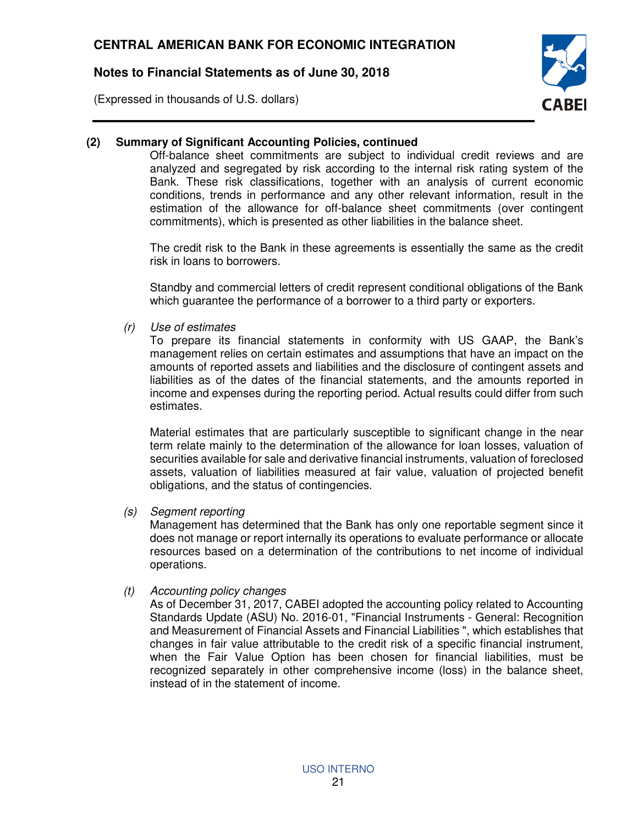(Expressed in thousands of U.S. dollars)



## **(2) Summary of Significant Accounting Policies, continued**

Off-balance sheet commitments are subject to individual credit reviews and are analyzed and segregated by risk according to the internal risk rating system of the Bank. These risk classifications, together with an analysis of current economic conditions, trends in performance and any other relevant information, result in the estimation of the allowance for off-balance sheet commitments (over contingent commitments), which is presented as other liabilities in the balance sheet.

The credit risk to the Bank in these agreements is essentially the same as the credit risk in loans to borrowers.

Standby and commercial letters of credit represent conditional obligations of the Bank which guarantee the performance of a borrower to a third party or exporters.

(r) Use of estimates

To prepare its financial statements in conformity with US GAAP, the Bank's management relies on certain estimates and assumptions that have an impact on the amounts of reported assets and liabilities and the disclosure of contingent assets and liabilities as of the dates of the financial statements, and the amounts reported in income and expenses during the reporting period. Actual results could differ from such estimates.

Material estimates that are particularly susceptible to significant change in the near term relate mainly to the determination of the allowance for loan losses, valuation of securities available for sale and derivative financial instruments, valuation of foreclosed assets, valuation of liabilities measured at fair value, valuation of projected benefit obligations, and the status of contingencies.

(s) Segment reporting

Management has determined that the Bank has only one reportable segment since it does not manage or report internally its operations to evaluate performance or allocate resources based on a determination of the contributions to net income of individual operations.

(t) Accounting policy changes

As of December 31, 2017, CABEI adopted the accounting policy related to Accounting Standards Update (ASU) No. 2016-01, "Financial Instruments - General: Recognition and Measurement of Financial Assets and Financial Liabilities ", which establishes that changes in fair value attributable to the credit risk of a specific financial instrument, when the Fair Value Option has been chosen for financial liabilities, must be recognized separately in other comprehensive income (loss) in the balance sheet, instead of in the statement of income.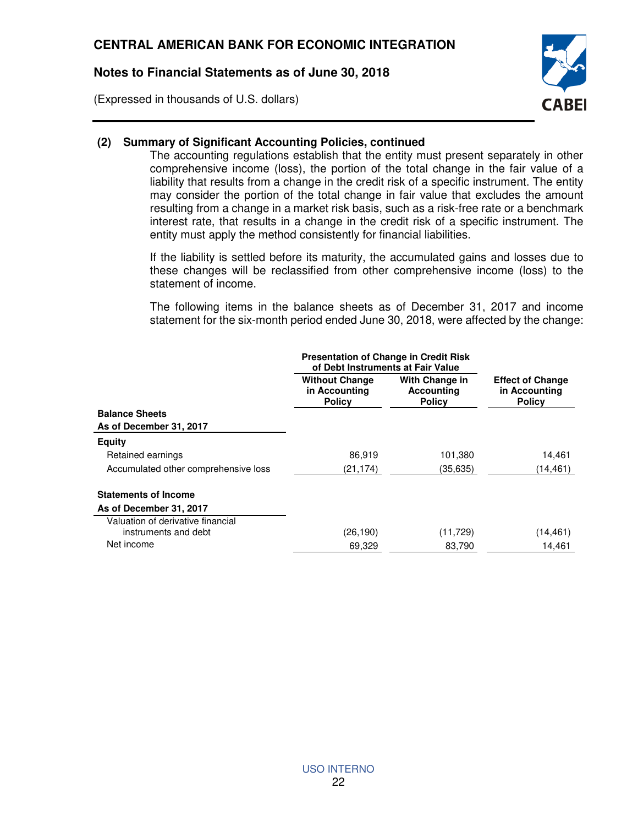(Expressed in thousands of U.S. dollars)



### **(2) Summary of Significant Accounting Policies, continued**

The accounting regulations establish that the entity must present separately in other comprehensive income (loss), the portion of the total change in the fair value of a liability that results from a change in the credit risk of a specific instrument. The entity may consider the portion of the total change in fair value that excludes the amount resulting from a change in a market risk basis, such as a risk-free rate or a benchmark interest rate, that results in a change in the credit risk of a specific instrument. The entity must apply the method consistently for financial liabilities.

If the liability is settled before its maturity, the accumulated gains and losses due to these changes will be reclassified from other comprehensive income (loss) to the statement of income.

The following items in the balance sheets as of December 31, 2017 and income statement for the six-month period ended June 30, 2018, were affected by the change:

|                                      | <b>Presentation of Change in Credit Risk</b><br>of Debt Instruments at Fair Value |                                                      |                                                           |
|--------------------------------------|-----------------------------------------------------------------------------------|------------------------------------------------------|-----------------------------------------------------------|
|                                      | <b>Without Change</b><br>in Accounting<br><b>Policy</b>                           | With Change in<br><b>Accounting</b><br><b>Policy</b> | <b>Effect of Change</b><br>in Accounting<br><b>Policy</b> |
| <b>Balance Sheets</b>                |                                                                                   |                                                      |                                                           |
| As of December 31, 2017              |                                                                                   |                                                      |                                                           |
| <b>Equity</b>                        |                                                                                   |                                                      |                                                           |
| Retained earnings                    | 86,919                                                                            | 101,380                                              | 14,461                                                    |
| Accumulated other comprehensive loss | (21,174)                                                                          | (35, 635)                                            | (14,461)                                                  |
| <b>Statements of Income</b>          |                                                                                   |                                                      |                                                           |
| As of December 31, 2017              |                                                                                   |                                                      |                                                           |
| Valuation of derivative financial    |                                                                                   |                                                      |                                                           |
| instruments and debt                 | (26,190)                                                                          | (11, 729)                                            | (14,461)                                                  |
| Net income                           | 69,329                                                                            | 83,790                                               | 14,461                                                    |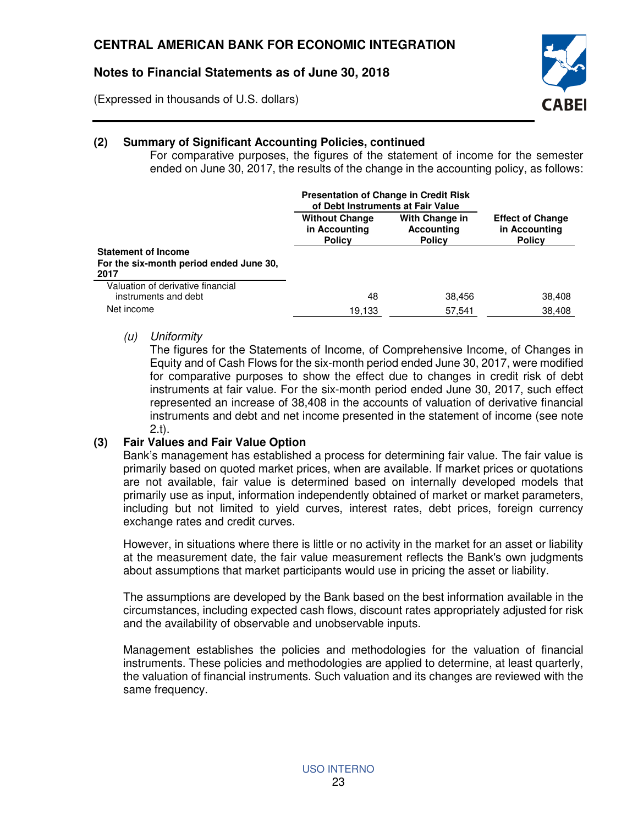(Expressed in thousands of U.S. dollars)



### **(2) Summary of Significant Accounting Policies, continued**

For comparative purposes, the figures of the statement of income for the semester ended on June 30, 2017, the results of the change in the accounting policy, as follows:

|                                                                               | <b>Presentation of Change in Credit Risk</b><br>of Debt Instruments at Fair Value |                                                      |                                                           |
|-------------------------------------------------------------------------------|-----------------------------------------------------------------------------------|------------------------------------------------------|-----------------------------------------------------------|
|                                                                               | <b>Without Change</b><br>in Accounting<br><b>Policy</b>                           | With Change in<br><b>Accounting</b><br><b>Policy</b> | <b>Effect of Change</b><br>in Accounting<br><b>Policy</b> |
| <b>Statement of Income</b><br>For the six-month period ended June 30,<br>2017 |                                                                                   |                                                      |                                                           |
| Valuation of derivative financial<br>instruments and debt                     | 48                                                                                | 38.456                                               | 38,408                                                    |
| Net income                                                                    | 19,133                                                                            | 57.541                                               | 38,408                                                    |

#### (u) Uniformity

The figures for the Statements of Income, of Comprehensive Income, of Changes in Equity and of Cash Flows for the six-month period ended June 30, 2017, were modified for comparative purposes to show the effect due to changes in credit risk of debt instruments at fair value. For the six-month period ended June 30, 2017, such effect represented an increase of 38,408 in the accounts of valuation of derivative financial instruments and debt and net income presented in the statement of income (see note 2.t).

#### **(3) Fair Values and Fair Value Option**

Bank's management has established a process for determining fair value. The fair value is primarily based on quoted market prices, when are available. If market prices or quotations are not available, fair value is determined based on internally developed models that primarily use as input, information independently obtained of market or market parameters, including but not limited to yield curves, interest rates, debt prices, foreign currency exchange rates and credit curves.

However, in situations where there is little or no activity in the market for an asset or liability at the measurement date, the fair value measurement reflects the Bank's own judgments about assumptions that market participants would use in pricing the asset or liability.

The assumptions are developed by the Bank based on the best information available in the circumstances, including expected cash flows, discount rates appropriately adjusted for risk and the availability of observable and unobservable inputs.

Management establishes the policies and methodologies for the valuation of financial instruments. These policies and methodologies are applied to determine, at least quarterly, the valuation of financial instruments. Such valuation and its changes are reviewed with the same frequency.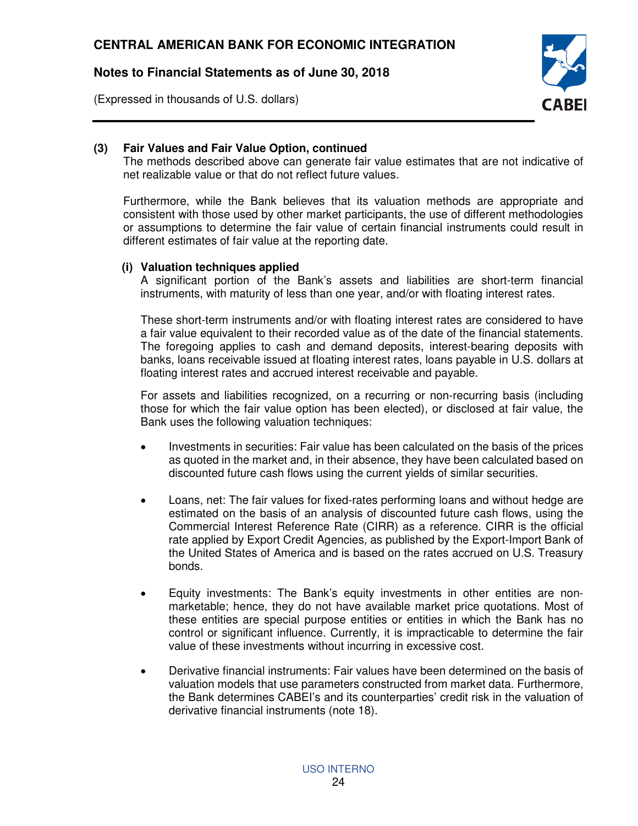(Expressed in thousands of U.S. dollars)



## **(3) Fair Values and Fair Value Option, continued**

The methods described above can generate fair value estimates that are not indicative of net realizable value or that do not reflect future values.

Furthermore, while the Bank believes that its valuation methods are appropriate and consistent with those used by other market participants, the use of different methodologies or assumptions to determine the fair value of certain financial instruments could result in different estimates of fair value at the reporting date.

#### **(i) Valuation techniques applied**

A significant portion of the Bank's assets and liabilities are short-term financial instruments, with maturity of less than one year, and/or with floating interest rates.

These short-term instruments and/or with floating interest rates are considered to have a fair value equivalent to their recorded value as of the date of the financial statements. The foregoing applies to cash and demand deposits, interest-bearing deposits with banks, loans receivable issued at floating interest rates, loans payable in U.S. dollars at floating interest rates and accrued interest receivable and payable.

For assets and liabilities recognized, on a recurring or non-recurring basis (including those for which the fair value option has been elected), or disclosed at fair value, the Bank uses the following valuation techniques:

- Investments in securities: Fair value has been calculated on the basis of the prices as quoted in the market and, in their absence, they have been calculated based on discounted future cash flows using the current yields of similar securities.
- Loans, net: The fair values for fixed-rates performing loans and without hedge are estimated on the basis of an analysis of discounted future cash flows, using the Commercial Interest Reference Rate (CIRR) as a reference. CIRR is the official rate applied by Export Credit Agencies, as published by the Export-Import Bank of the United States of America and is based on the rates accrued on U.S. Treasury bonds.
- Equity investments: The Bank's equity investments in other entities are nonmarketable; hence, they do not have available market price quotations. Most of these entities are special purpose entities or entities in which the Bank has no control or significant influence. Currently, it is impracticable to determine the fair value of these investments without incurring in excessive cost.
- Derivative financial instruments: Fair values have been determined on the basis of valuation models that use parameters constructed from market data. Furthermore, the Bank determines CABEI's and its counterparties' credit risk in the valuation of derivative financial instruments (note 18).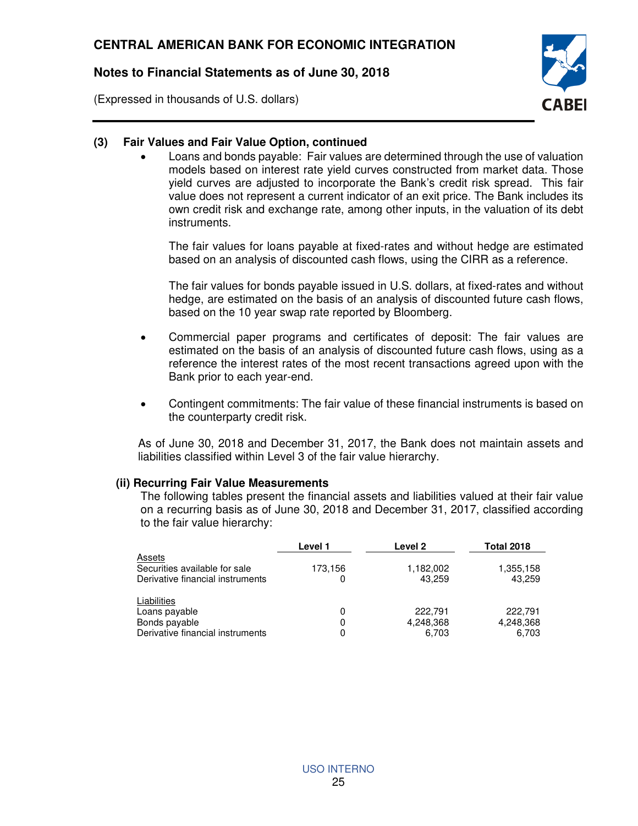(Expressed in thousands of U.S. dollars)



#### **(3) Fair Values and Fair Value Option, continued**

 Loans and bonds payable: Fair values are determined through the use of valuation models based on interest rate yield curves constructed from market data. Those yield curves are adjusted to incorporate the Bank's credit risk spread. This fair value does not represent a current indicator of an exit price. The Bank includes its own credit risk and exchange rate, among other inputs, in the valuation of its debt instruments.

The fair values for loans payable at fixed-rates and without hedge are estimated based on an analysis of discounted cash flows, using the CIRR as a reference.

The fair values for bonds payable issued in U.S. dollars, at fixed-rates and without hedge, are estimated on the basis of an analysis of discounted future cash flows, based on the 10 year swap rate reported by Bloomberg.

- Commercial paper programs and certificates of deposit: The fair values are estimated on the basis of an analysis of discounted future cash flows, using as a reference the interest rates of the most recent transactions agreed upon with the Bank prior to each year-end.
- Contingent commitments: The fair value of these financial instruments is based on the counterparty credit risk.

As of June 30, 2018 and December 31, 2017, the Bank does not maintain assets and liabilities classified within Level 3 of the fair value hierarchy.

#### **(ii) Recurring Fair Value Measurements**

The following tables present the financial assets and liabilities valued at their fair value on a recurring basis as of June 30, 2018 and December 31, 2017, classified according to the fair value hierarchy:

|                                  | Level 1 | Level 2   | <b>Total 2018</b> |
|----------------------------------|---------|-----------|-------------------|
| Assets                           |         |           |                   |
| Securities available for sale    | 173,156 | 1,182,002 | 1,355,158         |
| Derivative financial instruments | 0       | 43,259    | 43,259            |
| Liabilities                      |         |           |                   |
| Loans payable                    | 0       | 222,791   | 222.791           |
| Bonds payable                    | 0       | 4,248,368 | 4,248,368         |
| Derivative financial instruments | 0       | 6.703     | 6.703             |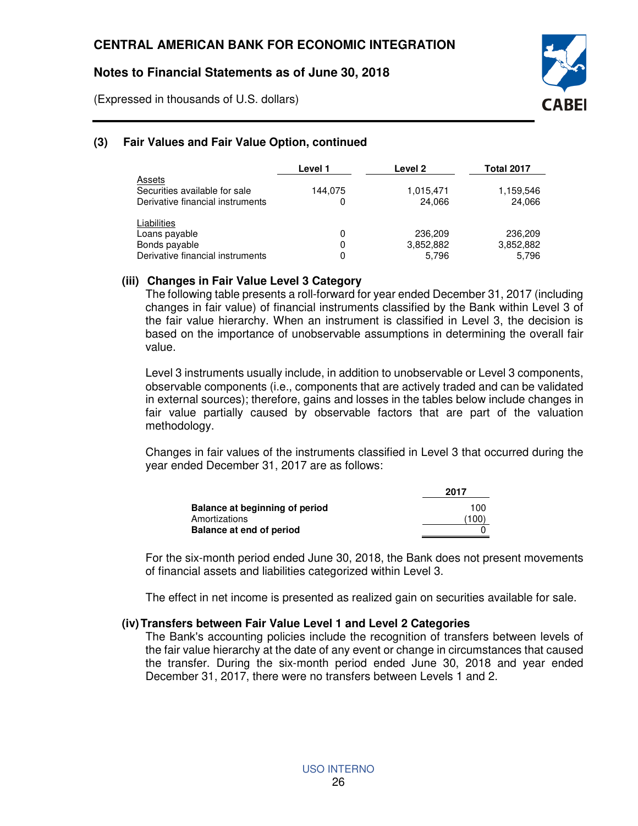(Expressed in thousands of U.S. dollars)



# **(3) Fair Values and Fair Value Option, continued**

|                                                                                   | Level 1      | Level 2                       | <b>Total 2017</b>             |
|-----------------------------------------------------------------------------------|--------------|-------------------------------|-------------------------------|
| Assets<br>Securities available for sale<br>Derivative financial instruments       | 144,075<br>0 | 1,015,471<br>24,066           | 1,159,546<br>24,066           |
| Liabilities<br>Loans payable<br>Bonds payable<br>Derivative financial instruments | 0<br>0<br>0  | 236,209<br>3,852,882<br>5,796 | 236,209<br>3,852,882<br>5,796 |

### **(iii) Changes in Fair Value Level 3 Category**

The following table presents a roll-forward for year ended December 31, 2017 (including changes in fair value) of financial instruments classified by the Bank within Level 3 of the fair value hierarchy. When an instrument is classified in Level 3, the decision is based on the importance of unobservable assumptions in determining the overall fair value.

Level 3 instruments usually include, in addition to unobservable or Level 3 components, observable components (i.e., components that are actively traded and can be validated in external sources); therefore, gains and losses in the tables below include changes in fair value partially caused by observable factors that are part of the valuation methodology.

Changes in fair values of the instruments classified in Level 3 that occurred during the year ended December 31, 2017 are as follows:

|                                | 2017  |
|--------------------------------|-------|
| Balance at beginning of period | 100   |
| Amortizations                  | (100) |
| Balance at end of period       |       |

For the six-month period ended June 30, 2018, the Bank does not present movements of financial assets and liabilities categorized within Level 3.

The effect in net income is presented as realized gain on securities available for sale.

#### **(iv) Transfers between Fair Value Level 1 and Level 2 Categories**

The Bank's accounting policies include the recognition of transfers between levels of the fair value hierarchy at the date of any event or change in circumstances that caused the transfer. During the six-month period ended June 30, 2018 and year ended December 31, 2017, there were no transfers between Levels 1 and 2.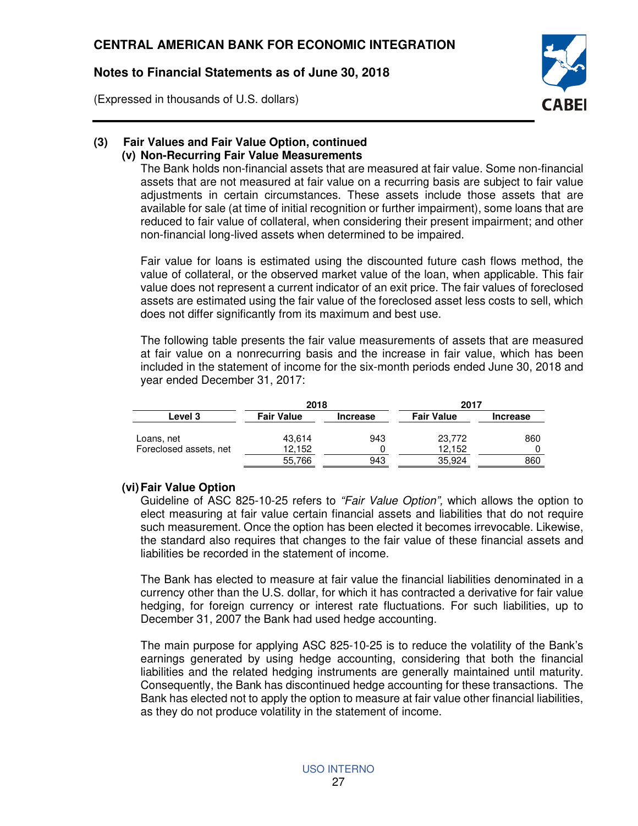(Expressed in thousands of U.S. dollars)



#### **(3) Fair Values and Fair Value Option, continued (v) Non-Recurring Fair Value Measurements**

The Bank holds non-financial assets that are measured at fair value. Some non-financial assets that are not measured at fair value on a recurring basis are subject to fair value adjustments in certain circumstances. These assets include those assets that are available for sale (at time of initial recognition or further impairment), some loans that are reduced to fair value of collateral, when considering their present impairment; and other non-financial long-lived assets when determined to be impaired.

Fair value for loans is estimated using the discounted future cash flows method, the value of collateral, or the observed market value of the loan, when applicable. This fair value does not represent a current indicator of an exit price. The fair values of foreclosed assets are estimated using the fair value of the foreclosed asset less costs to sell, which does not differ significantly from its maximum and best use.

The following table presents the fair value measurements of assets that are measured at fair value on a nonrecurring basis and the increase in fair value, which has been included in the statement of income for the six-month periods ended June 30, 2018 and year ended December 31, 2017:

|                        | 2018                                 |     | 2017              |                 |  |
|------------------------|--------------------------------------|-----|-------------------|-----------------|--|
| <b>Level 3</b>         | <b>Fair Value</b><br><b>Increase</b> |     | <b>Fair Value</b> | <b>Increase</b> |  |
| Loans, net             | 43,614                               | 943 | 23.772            | 860             |  |
| Foreclosed assets, net | 12.152                               |     | 12.152            | O               |  |
|                        | 55,766                               | 943 | 35.924            | 860             |  |

#### **(vi) Fair Value Option**

Guideline of ASC 825-10-25 refers to "Fair Value Option", which allows the option to elect measuring at fair value certain financial assets and liabilities that do not require such measurement. Once the option has been elected it becomes irrevocable. Likewise, the standard also requires that changes to the fair value of these financial assets and liabilities be recorded in the statement of income.

The Bank has elected to measure at fair value the financial liabilities denominated in a currency other than the U.S. dollar, for which it has contracted a derivative for fair value hedging, for foreign currency or interest rate fluctuations. For such liabilities, up to December 31, 2007 the Bank had used hedge accounting.

The main purpose for applying ASC 825-10-25 is to reduce the volatility of the Bank's earnings generated by using hedge accounting, considering that both the financial liabilities and the related hedging instruments are generally maintained until maturity. Consequently, the Bank has discontinued hedge accounting for these transactions. The Bank has elected not to apply the option to measure at fair value other financial liabilities, as they do not produce volatility in the statement of income.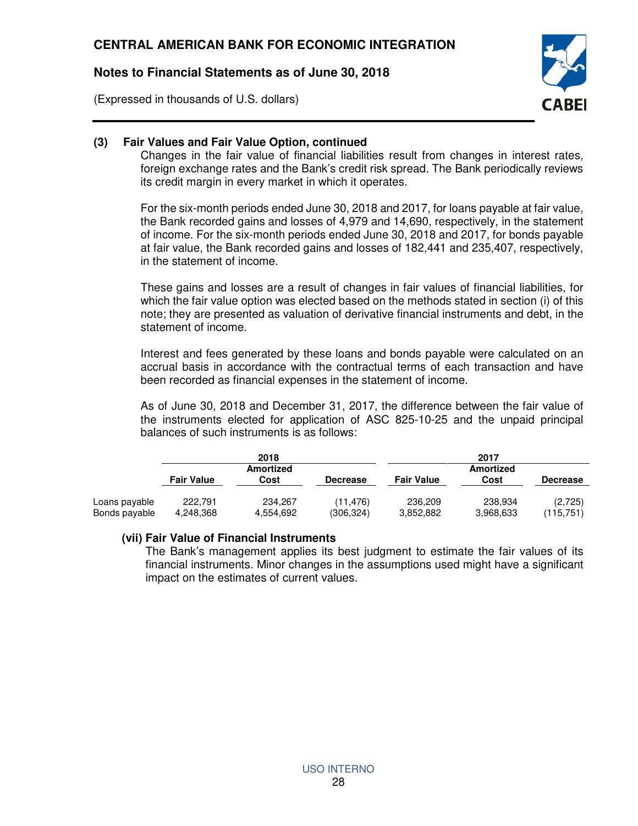(Expressed in thousands of U.S. dollars)



## **(3) Fair Values and Fair Value Option, continued**

Changes in the fair value of financial liabilities result from changes in interest rates, foreign exchange rates and the Bank's credit risk spread. The Bank periodically reviews its credit margin in every market in which it operates.

For the six-month periods ended June 30, 2018 and 2017, for loans payable at fair value, the Bank recorded gains and losses of 4,979 and 14,690, respectively, in the statement of income. For the six-month periods ended June 30, 2018 and 2017, for bonds payable at fair value, the Bank recorded gains and losses of 182,441 and 235,407, respectively, in the statement of income.

These gains and losses are a result of changes in fair values of financial liabilities, for which the fair value option was elected based on the methods stated in section (i) of this note; they are presented as valuation of derivative financial instruments and debt, in the statement of income.

Interest and fees generated by these loans and bonds payable were calculated on an accrual basis in accordance with the contractual terms of each transaction and have been recorded as financial expenses in the statement of income.

As of June 30, 2018 and December 31, 2017, the difference between the fair value of the instruments elected for application of ASC 825-10-25 and the unpaid principal balances of such instruments is as follows:

|                                | 2018                 |                          |                       | 2017                 |                      |                      |
|--------------------------------|----------------------|--------------------------|-----------------------|----------------------|----------------------|----------------------|
|                                | <b>Fair Value</b>    | <b>Amortized</b><br>Cost | <b>Decrease</b>       | <b>Fair Value</b>    | Amortized<br>Cost    | <b>Decrease</b>      |
| Loans payable<br>Bonds payable | 222.791<br>4.248.368 | 234.267<br>4,554,692     | (11.476)<br>(306,324) | 236.209<br>3,852,882 | 238.934<br>3,968,633 | (2,725)<br>(115.751) |

#### **(vii) Fair Value of Financial Instruments**

The Bank's management applies its best judgment to estimate the fair values of its financial instruments. Minor changes in the assumptions used might have a significant impact on the estimates of current values.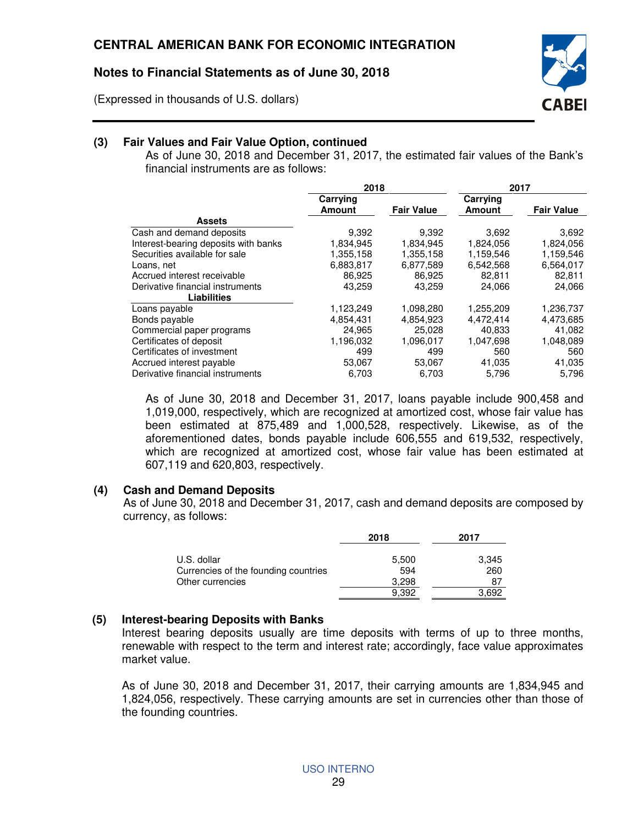(Expressed in thousands of U.S. dollars)



## **(3) Fair Values and Fair Value Option, continued**

As of June 30, 2018 and December 31, 2017, the estimated fair values of the Bank's financial instruments are as follows:

|                                      | 2018                      |                   | 2017                      |                   |
|--------------------------------------|---------------------------|-------------------|---------------------------|-------------------|
|                                      | Carrying<br><b>Amount</b> | <b>Fair Value</b> | Carrying<br><b>Amount</b> | <b>Fair Value</b> |
| <b>Assets</b>                        |                           |                   |                           |                   |
| Cash and demand deposits             | 9,392                     | 9,392             | 3,692                     | 3,692             |
| Interest-bearing deposits with banks | 1,834,945                 | 1,834,945         | 1,824,056                 | 1,824,056         |
| Securities available for sale        | 1,355,158                 | 1,355,158         | 1,159,546                 | 1,159,546         |
| Loans, net                           | 6,883,817                 | 6,877,589         | 6,542,568                 | 6,564,017         |
| Accrued interest receivable          | 86.925                    | 86.925            | 82.811                    | 82,811            |
| Derivative financial instruments     | 43,259                    | 43.259            | 24,066                    | 24,066            |
| <b>Liabilities</b>                   |                           |                   |                           |                   |
| Loans payable                        | 1,123,249                 | 1,098,280         | 1,255,209                 | 1,236,737         |
| Bonds payable                        | 4,854,431                 | 4,854,923         | 4,472,414                 | 4,473,685         |
| Commercial paper programs            | 24,965                    | 25.028            | 40.833                    | 41,082            |
| Certificates of deposit              | 1,196,032                 | 1,096,017         | 1,047,698                 | 1,048,089         |
| Certificates of investment           | 499                       | 499               | 560                       | 560               |
| Accrued interest payable             | 53,067                    | 53,067            | 41,035                    | 41,035            |
| Derivative financial instruments     | 6.703                     | 6.703             | 5.796                     | 5.796             |

As of June 30, 2018 and December 31, 2017, loans payable include 900,458 and 1,019,000, respectively, which are recognized at amortized cost, whose fair value has been estimated at 875,489 and 1,000,528, respectively. Likewise, as of the aforementioned dates, bonds payable include 606,555 and 619,532, respectively, which are recognized at amortized cost, whose fair value has been estimated at 607,119 and 620,803, respectively.

## **(4) Cash and Demand Deposits**

As of June 30, 2018 and December 31, 2017, cash and demand deposits are composed by currency, as follows:

|                                      | 2018  | 2017  |
|--------------------------------------|-------|-------|
| U.S. dollar                          | 5,500 | 3,345 |
| Currencies of the founding countries | 594   | 260   |
| Other currencies                     | 3.298 | 87    |
|                                      | 9.392 | 3.692 |

## **(5) Interest-bearing Deposits with Banks**

Interest bearing deposits usually are time deposits with terms of up to three months, renewable with respect to the term and interest rate; accordingly, face value approximates market value.

As of June 30, 2018 and December 31, 2017, their carrying amounts are 1,834,945 and 1,824,056, respectively. These carrying amounts are set in currencies other than those of the founding countries.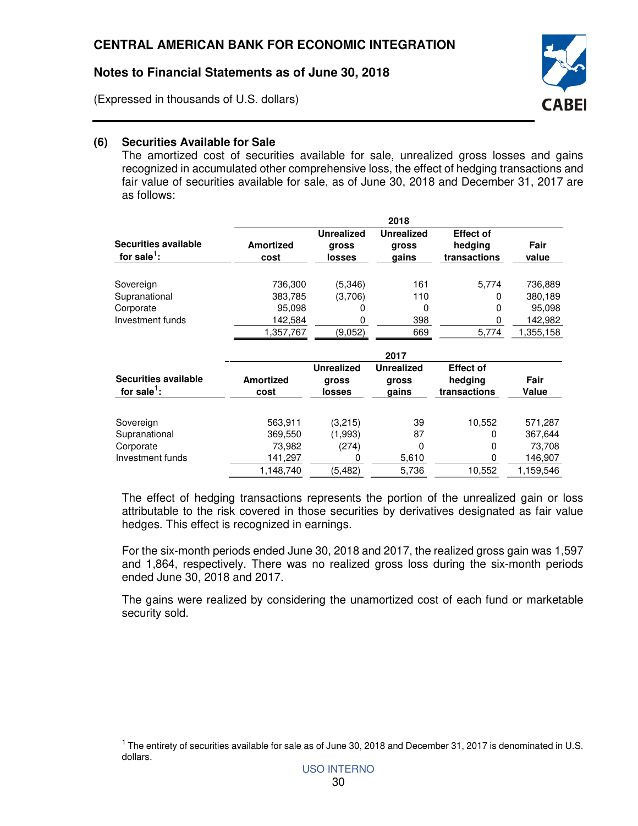(Expressed in thousands of U.S. dollars)



## **(6) Securities Available for Sale**

The amortized cost of securities available for sale, unrealized gross losses and gains recognized in accumulated other comprehensive loss, the effect of hedging transactions and fair value of securities available for sale, as of June 30, 2018 and December 31, 2017 are as follows:

|                                         |                          |                                      | 2018                                |                                             |               |
|-----------------------------------------|--------------------------|--------------------------------------|-------------------------------------|---------------------------------------------|---------------|
| Securities available<br>for sale $^1$ : | <b>Amortized</b><br>cost | <b>Unrealized</b><br>gross<br>losses | <b>Unrealized</b><br>gross<br>gains | <b>Effect of</b><br>hedging<br>transactions | Fair<br>value |
| Sovereign                               | 736,300                  | (5,346)                              | 161                                 | 5,774                                       | 736,889       |
| Supranational                           | 383,785                  | (3,706)                              | 110                                 | 0                                           | 380,189       |
| Corporate                               | 95,098                   |                                      | 0                                   | 0                                           | 95,098        |
| Investment funds                        | 142,584                  |                                      | 398                                 | 0                                           | 142,982       |
|                                         | 1,357,767                | (9,052)                              | 669                                 | 5,774                                       | 1,355,158     |
|                                         |                          |                                      | 2017                                |                                             |               |
|                                         |                          | <b>Unrealized</b>                    | <b>Unrealized</b>                   | <b>Effect of</b>                            |               |
| <b>Securities available</b>             | <b>Amortized</b>         | gross                                | gross                               | hedging                                     | Fair          |
| for sale $^1$ :                         | cost                     | losses                               | gains                               | transactions                                | Value         |
| Sovereign                               | 563,911                  | (3,215)                              | 39                                  | 10,552                                      | 571,287       |
| Supranational                           | 369,550                  | (1,993)                              | 87                                  | 0                                           | 367,644       |
| Corporate                               | 73,982                   | (274)                                | 0                                   | 0                                           | 73,708        |
| Investment funds                        | 141,297                  | 0                                    | 5,610                               | 0                                           | 146,907       |
|                                         | 1,148,740                | (5,482)                              | 5,736                               | 10,552                                      | 1,159,546     |

The effect of hedging transactions represents the portion of the unrealized gain or loss attributable to the risk covered in those securities by derivatives designated as fair value hedges. This effect is recognized in earnings.

For the six-month periods ended June 30, 2018 and 2017, the realized gross gain was 1,597 and 1,864, respectively. There was no realized gross loss during the six-month periods ended June 30, 2018 and 2017.

The gains were realized by considering the unamortized cost of each fund or marketable security sold.

 $1$  The entirety of securities available for sale as of June 30, 2018 and December 31, 2017 is denominated in U.S. dollars.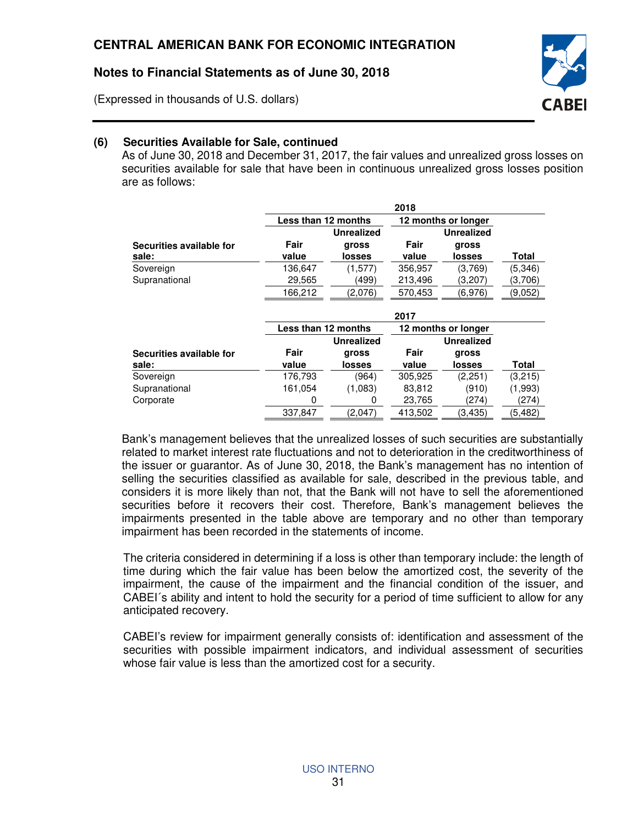(Expressed in thousands of U.S. dollars)



## **(6) Securities Available for Sale, continued**

As of June 30, 2018 and December 31, 2017, the fair values and unrealized gross losses on securities available for sale that have been in continuous unrealized gross losses position are as follows:

|                          | 2018                |                   |                     |                     |              |  |
|--------------------------|---------------------|-------------------|---------------------|---------------------|--------------|--|
|                          | Less than 12 months |                   |                     | 12 months or longer |              |  |
|                          |                     | <b>Unrealized</b> |                     | <b>Unrealized</b>   |              |  |
| Securities available for | Fair                | gross             | Fair                | gross               |              |  |
| sale:                    | value               | losses            | value               | losses              | <b>Total</b> |  |
| Sovereign                | 136,647             | (1,577)           | 356,957             | (3,769)             | (5,346)      |  |
| Supranational            | 29,565              | (499)             | 213,496             | (3,207)             | (3,706)      |  |
|                          | 166,212             | (2,076)           | 570,453             | (6,976)             | (9,052)      |  |
|                          |                     |                   |                     |                     |              |  |
|                          |                     |                   | 2017                |                     |              |  |
|                          | Less than 12 months |                   | 12 months or longer |                     |              |  |
|                          |                     | <b>Unrealized</b> |                     | <b>Unrealized</b>   |              |  |
| Securities available for | Fair                | gross             | Fair                | gross               |              |  |
| sale:                    | value               | losses            | value               | losses              | Total        |  |
| Sovereign                | 176,793             | (964)             | 305,925             | (2,251)             | (3,215)      |  |
| Supranational            | 161,054             | (1,083)           | 83,812              | (910)               | (1,993)      |  |
| Corporate                | 0                   | 0                 | 23,765              | (274)               | (274)        |  |
|                          | 337,847             | (2,047)           | 413,502             | (3, 435)            | (5, 482)     |  |

Bank's management believes that the unrealized losses of such securities are substantially related to market interest rate fluctuations and not to deterioration in the creditworthiness of the issuer or guarantor. As of June 30, 2018, the Bank's management has no intention of selling the securities classified as available for sale, described in the previous table, and considers it is more likely than not, that the Bank will not have to sell the aforementioned securities before it recovers their cost. Therefore, Bank's management believes the impairments presented in the table above are temporary and no other than temporary impairment has been recorded in the statements of income.

The criteria considered in determining if a loss is other than temporary include: the length of time during which the fair value has been below the amortized cost, the severity of the impairment, the cause of the impairment and the financial condition of the issuer, and CABEI´s ability and intent to hold the security for a period of time sufficient to allow for any anticipated recovery.

CABEI's review for impairment generally consists of: identification and assessment of the securities with possible impairment indicators, and individual assessment of securities whose fair value is less than the amortized cost for a security.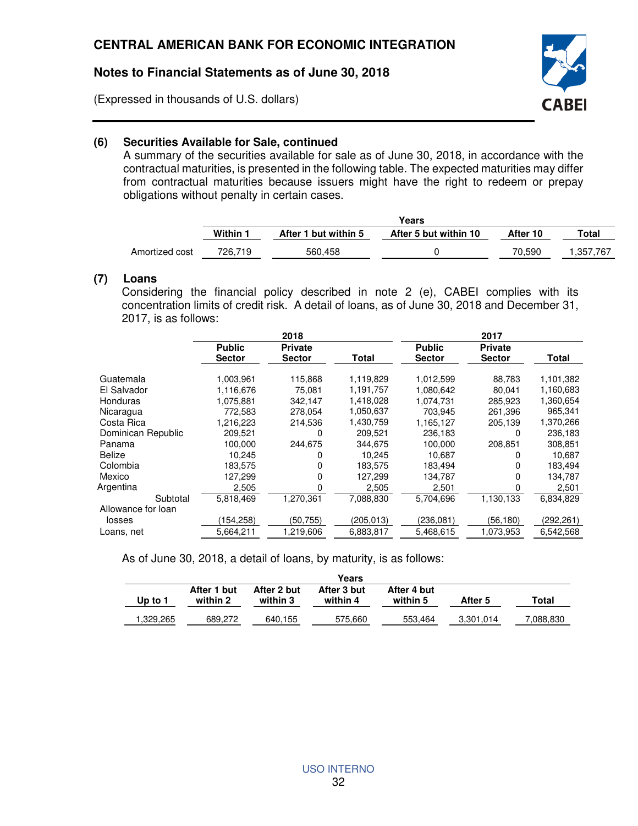(Expressed in thousands of U.S. dollars)



#### **(6) Securities Available for Sale, continued**

A summary of the securities available for sale as of June 30, 2018, in accordance with the contractual maturities, is presented in the following table. The expected maturities may differ from contractual maturities because issuers might have the right to redeem or prepay obligations without penalty in certain cases.

|                | Years    |                      |                       |          |          |
|----------------|----------|----------------------|-----------------------|----------|----------|
|                | Within 1 | After 1 but within 5 | After 5 but within 10 | After 10 | Total    |
| Amortized cost | 726.719  | 560.458              |                       | 70.590   | .357.767 |

### **(7) Loans**

Considering the financial policy described in note 2 (e), CABEI complies with its concentration limits of credit risk. A detail of loans, as of June 30, 2018 and December 31, 2017, is as follows:

|                    | 2018          |                |           | 2017          |                |           |
|--------------------|---------------|----------------|-----------|---------------|----------------|-----------|
|                    | <b>Public</b> | <b>Private</b> |           | <b>Public</b> | <b>Private</b> |           |
|                    | <b>Sector</b> | <b>Sector</b>  | Total     | <b>Sector</b> | <b>Sector</b>  | Total     |
| Guatemala          | 1,003,961     | 115,868        | 1,119,829 | 1,012,599     | 88.783         | 1,101,382 |
| El Salvador        | 1,116,676     | 75,081         | 1,191,757 | 1,080,642     | 80,041         | 1,160,683 |
| Honduras           | 1,075,881     | 342,147        | 1,418,028 | 1.074.731     | 285.923        | 1,360,654 |
| Nicaragua          | 772,583       | 278,054        | 1.050.637 | 703,945       | 261,396        | 965,341   |
| Costa Rica         | 1,216,223     | 214,536        | 1,430,759 | 1,165,127     | 205,139        | 1,370,266 |
| Dominican Republic | 209,521       | 0              | 209,521   | 236,183       | 0              | 236,183   |
| Panama             | 100,000       | 244,675        | 344,675   | 100,000       | 208,851        | 308,851   |
| <b>Belize</b>      | 10.245        | 0              | 10.245    | 10.687        |                | 10,687    |
| Colombia           | 183,575       | 0              | 183,575   | 183,494       | 0              | 183,494   |
| Mexico             | 127,299       | 0              | 127.299   | 134,787       | 0              | 134,787   |
| Argentina          | 2,505         | O              | 2,505     | 2,501         |                | 2,501     |
| Subtotal           | 5,818,469     | 1.270.361      | 7.088.830 | 5,704,696     | 1,130,133      | 6,834,829 |
| Allowance for loan |               |                |           |               |                |           |
| losses             | 154,258)      | (50,755)       | (205,013) | (236,081)     | (56,180)       | (292,261) |
| Loans, net         | 5,664,211     | .219,606       | 6,883,817 | 5,468,615     | .073.953       | 6,542,568 |

As of June 30, 2018, a detail of loans, by maturity, is as follows:

| Up to 1  | After 1 but<br>within 2 | After 2 but<br>within 3 | After 3 but<br>within 4 | After 4 but<br>within 5 | After 5   | Total     |
|----------|-------------------------|-------------------------|-------------------------|-------------------------|-----------|-----------|
|          |                         |                         |                         |                         |           |           |
| .329,265 | 689.272                 | 640,155                 | 575,660                 | 553,464                 | 3,301,014 | 7.088.830 |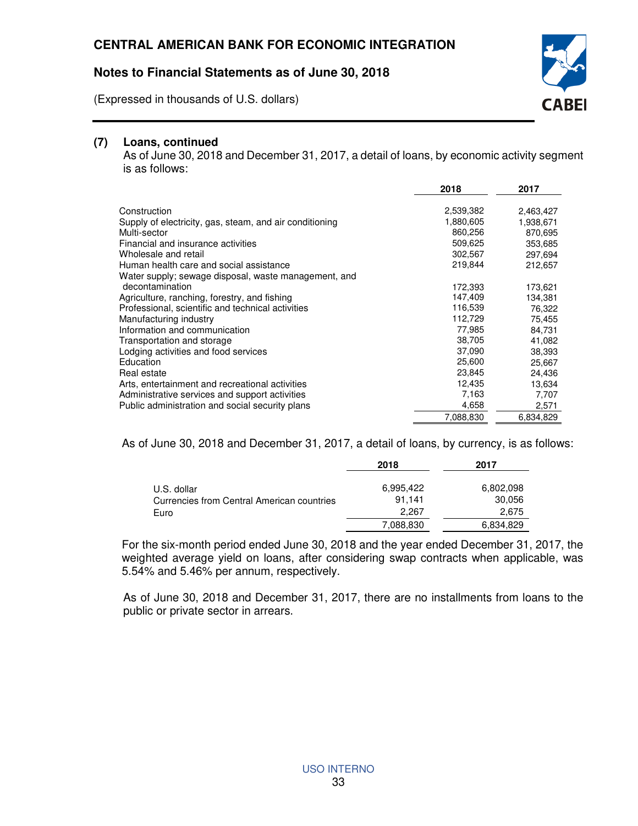(Expressed in thousands of U.S. dollars)



## **(7) Loans, continued**

As of June 30, 2018 and December 31, 2017, a detail of loans, by economic activity segment is as follows:

|                                                         | 2018      | 2017      |
|---------------------------------------------------------|-----------|-----------|
| Construction                                            | 2,539,382 | 2,463,427 |
| Supply of electricity, gas, steam, and air conditioning | 1,880,605 | 1,938,671 |
| Multi-sector                                            | 860,256   |           |
|                                                         |           | 870,695   |
| Financial and insurance activities                      | 509,625   | 353.685   |
| Wholesale and retail                                    | 302,567   | 297,694   |
| Human health care and social assistance                 | 219,844   | 212,657   |
| Water supply; sewage disposal, waste management, and    |           |           |
| decontamination                                         | 172,393   | 173,621   |
| Agriculture, ranching, forestry, and fishing            | 147,409   | 134,381   |
| Professional, scientific and technical activities       | 116,539   | 76,322    |
| Manufacturing industry                                  | 112,729   | 75,455    |
| Information and communication                           | 77,985    | 84,731    |
| Transportation and storage                              | 38,705    | 41,082    |
| Lodging activities and food services                    | 37,090    | 38,393    |
| Education                                               | 25,600    | 25,667    |
| Real estate                                             | 23,845    | 24,436    |
| Arts, entertainment and recreational activities         | 12,435    | 13,634    |
| Administrative services and support activities          | 7,163     | 7,707     |
| Public administration and social security plans         | 4,658     | 2,571     |
|                                                         | 7,088,830 | 6,834,829 |

As of June 30, 2018 and December 31, 2017, a detail of loans, by currency, is as follows:

|                                                                   | 2018                         | 2017                         |
|-------------------------------------------------------------------|------------------------------|------------------------------|
| U.S. dollar<br>Currencies from Central American countries<br>Euro | 6.995.422<br>91.141<br>2.267 | 6,802,098<br>30,056<br>2.675 |
|                                                                   | 7,088,830                    | 6,834,829                    |

For the six-month period ended June 30, 2018 and the year ended December 31, 2017, the weighted average yield on loans, after considering swap contracts when applicable, was 5.54% and 5.46% per annum, respectively.

As of June 30, 2018 and December 31, 2017, there are no installments from loans to the public or private sector in arrears.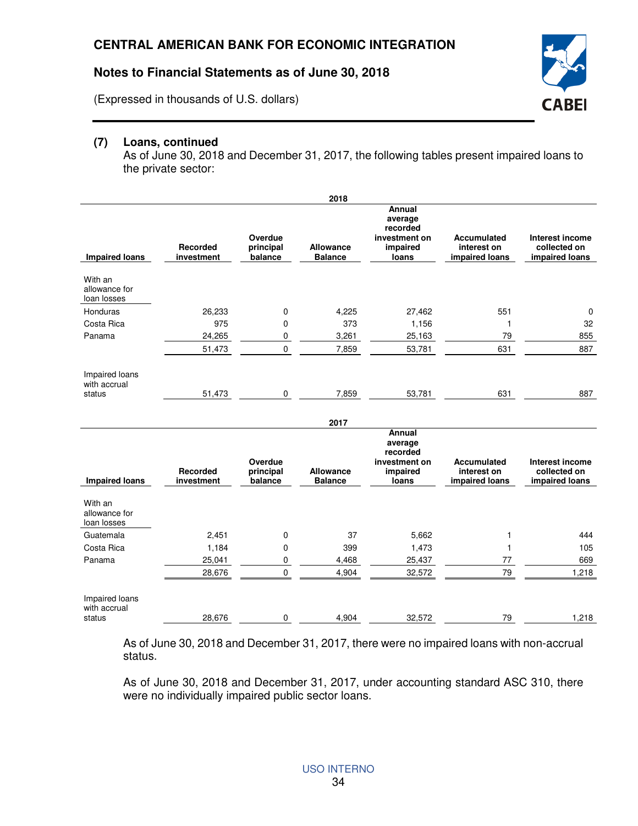(Expressed in thousands of U.S. dollars)



As of June 30, 2018 and December 31, 2017, the following tables present impaired loans to the private sector:

**CABEI** 

|                                          |                        |                                 | 2018                               |                                                                     |                                                     |                                                   |
|------------------------------------------|------------------------|---------------------------------|------------------------------------|---------------------------------------------------------------------|-----------------------------------------------------|---------------------------------------------------|
| <b>Impaired loans</b>                    | Recorded<br>investment | Overdue<br>principal<br>balance | <b>Allowance</b><br><b>Balance</b> | Annual<br>average<br>recorded<br>investment on<br>impaired<br>loans | <b>Accumulated</b><br>interest on<br>impaired loans | Interest income<br>collected on<br>impaired loans |
| With an<br>allowance for<br>loan losses  |                        |                                 |                                    |                                                                     |                                                     |                                                   |
| Honduras                                 | 26,233                 | 0                               | 4,225                              | 27,462                                                              | 551                                                 | $\mathbf 0$                                       |
| Costa Rica                               | 975                    | 0                               | 373                                | 1,156                                                               | $\mathbf{1}$                                        | 32                                                |
| Panama                                   | 24,265                 | 0                               | 3.261                              | 25,163                                                              | 79                                                  | 855                                               |
|                                          | 51,473                 | $\mathbf 0$                     | 7,859                              | 53,781                                                              | 631                                                 | 887                                               |
| Impaired loans<br>with accrual<br>status | 51,473                 | $\mathbf 0$                     | 7,859                              | 53,781                                                              | 631                                                 | 887                                               |
|                                          |                        |                                 | 2017                               |                                                                     |                                                     |                                                   |
| <b>Impaired loans</b>                    | Recorded<br>investment | Overdue<br>principal<br>balance | <b>Allowance</b><br><b>Balance</b> | Annual<br>average<br>recorded<br>investment on<br>impaired<br>loans | <b>Accumulated</b><br>interest on<br>impaired loans | Interest income<br>collected on<br>impaired loans |
| With an<br>allowance for<br>loan losses  |                        |                                 |                                    |                                                                     |                                                     |                                                   |
| Guatemala                                | 2,451                  | $\mathbf 0$                     | 37                                 | 5,662                                                               | 1                                                   | 444                                               |
| Costa Rica                               | 1,184                  | 0                               | 399                                | 1,473                                                               | $\mathbf{1}$                                        | 105                                               |
| Panama                                   | 25,041                 | $\mathbf 0$                     | 4,468                              | 25,437                                                              | 77                                                  | 669                                               |
|                                          | 28,676                 | $\mathbf 0$                     | 4,904                              | 32,572                                                              | 79                                                  | 1,218                                             |
| Impaired loans<br>with accrual<br>status | 28,676                 | 0                               | 4,904                              | 32,572                                                              | 79                                                  | 1.218                                             |

As of June 30, 2018 and December 31, 2017, there were no impaired loans with non-accrual status.

As of June 30, 2018 and December 31, 2017, under accounting standard ASC 310, there were no individually impaired public sector loans.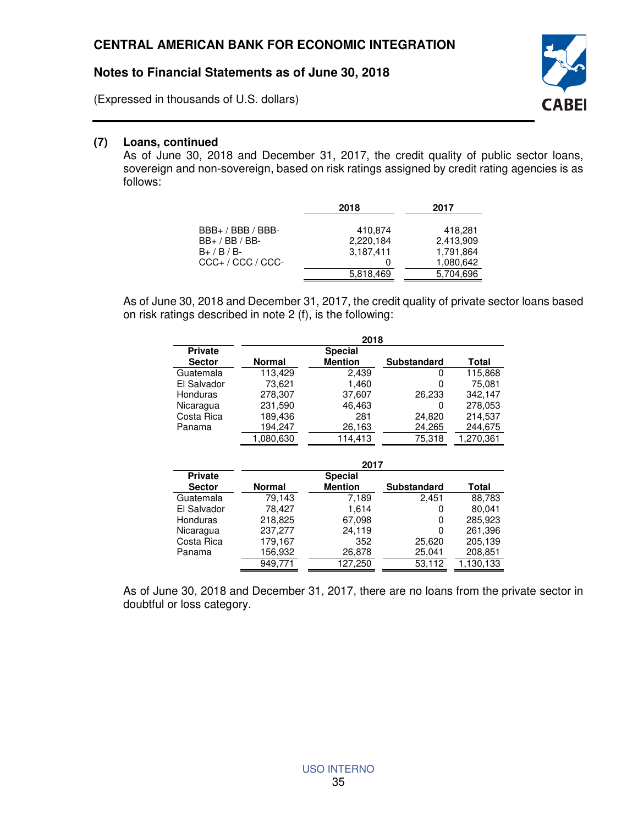(Expressed in thousands of U.S. dollars)

#### **(7) Loans, continued**

As of June 30, 2018 and December 31, 2017, the credit quality of public sector loans, sovereign and non-sovereign, based on risk ratings assigned by credit rating agencies is as follows:

|                                                                         | 2018                              | 2017                                           |
|-------------------------------------------------------------------------|-----------------------------------|------------------------------------------------|
| BBB+ / BBB / BBB-<br>BB+ / BB / BB-<br>B+ / B / B-<br>CCC+ / CCC / CCC- | 410,874<br>2,220,184<br>3,187,411 | 418.281<br>2,413,909<br>1,791,864<br>1,080,642 |
|                                                                         | 5,818,469                         | 5,704,696                                      |

As of June 30, 2018 and December 31, 2017, the credit quality of private sector loans based on risk ratings described in note 2 (f), is the following:

|                | 2018      |                |                    |           |  |
|----------------|-----------|----------------|--------------------|-----------|--|
| <b>Private</b> |           | <b>Special</b> |                    |           |  |
| <b>Sector</b>  | Normal    | <b>Mention</b> | <b>Substandard</b> | Total     |  |
| Guatemala      | 113.429   | 2,439          | 0                  | 115,868   |  |
| El Salvador    | 73,621    | 1.460          | 0                  | 75.081    |  |
| Honduras       | 278,307   | 37,607         | 26,233             | 342.147   |  |
| Nicaragua      | 231,590   | 46,463         | O                  | 278.053   |  |
| Costa Rica     | 189,436   | 281            | 24,820             | 214,537   |  |
| Panama         | 194,247   | 26,163         | 24,265             | 244,675   |  |
|                | 1,080,630 | 114.413        | 75,318             | 1,270,361 |  |
|                |           |                |                    |           |  |

|                | 2017          |                |                    |           |  |  |
|----------------|---------------|----------------|--------------------|-----------|--|--|
| <b>Private</b> |               | <b>Special</b> |                    |           |  |  |
| <b>Sector</b>  | <b>Normal</b> | <b>Mention</b> | <b>Substandard</b> | Total     |  |  |
| Guatemala      | 79.143        | 7,189          | 2.451              | 88,783    |  |  |
| El Salvador    | 78.427        | 1.614          | 0                  | 80.041    |  |  |
| Honduras       | 218,825       | 67,098         | 0                  | 285,923   |  |  |
| Nicaragua      | 237,277       | 24.119         | 0                  | 261,396   |  |  |
| Costa Rica     | 179.167       | 352            | 25,620             | 205,139   |  |  |
| Panama         | 156,932       | 26,878         | 25,041             | 208,851   |  |  |
|                | 949,771       | 127,250        | 53,112             | 1,130,133 |  |  |

As of June 30, 2018 and December 31, 2017, there are no loans from the private sector in doubtful or loss category.

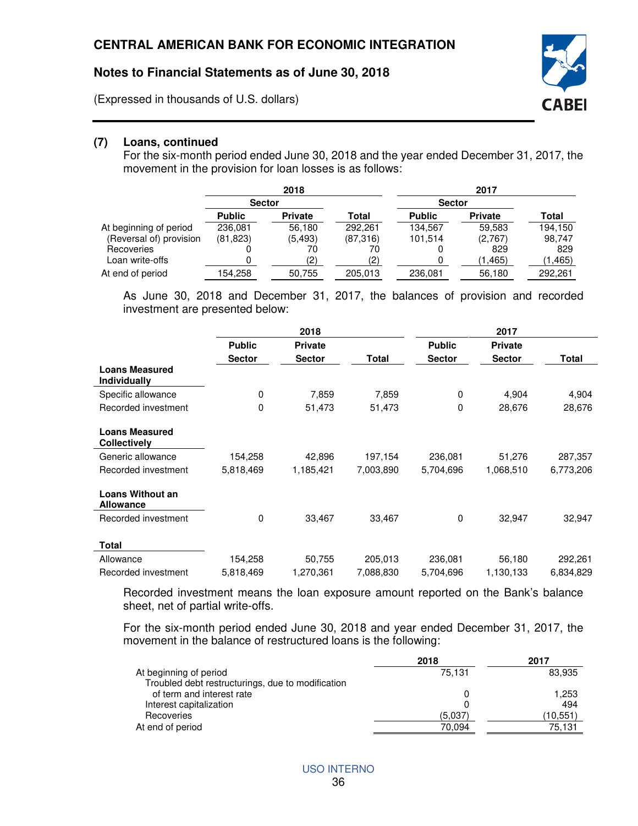(Expressed in thousands of U.S. dollars)



For the six-month period ended June 30, 2018 and the year ended December 31, 2017, the movement in the provision for loan losses is as follows:

**CABEI** 

|                         | 2018          |                |          | 2017          |                |          |
|-------------------------|---------------|----------------|----------|---------------|----------------|----------|
|                         | <b>Sector</b> |                |          |               | <b>Sector</b>  |          |
|                         | <b>Public</b> | <b>Private</b> | Total    | <b>Public</b> | <b>Private</b> | Total    |
| At beginning of period  | 236.081       | 56,180         | 292.261  | 134.567       | 59.583         | 194,150  |
| (Reversal of) provision | (81,823)      | (5.493)        | (87,316) | 101.514       | (2,767)        | 98,747   |
| Recoveries              |               | 70             | 70       |               | 829            | 829      |
| Loan write-offs         |               | (2)            | (2)      |               | (1, 465)       | (1, 465) |
| At end of period        | 154,258       | 50,755         | 205,013  | 236,081       | 56,180         | 292,261  |

As June 30, 2018 and December 31, 2017, the balances of provision and recorded investment are presented below:

|                                              | 2018          |                | 2017      |               |                |           |
|----------------------------------------------|---------------|----------------|-----------|---------------|----------------|-----------|
|                                              | <b>Public</b> | <b>Private</b> |           | <b>Public</b> | <b>Private</b> |           |
|                                              | <b>Sector</b> | <b>Sector</b>  | Total     | <b>Sector</b> | <b>Sector</b>  | Total     |
| <b>Loans Measured</b><br><b>Individually</b> |               |                |           |               |                |           |
| Specific allowance                           | 0             | 7,859          | 7,859     | $\mathbf 0$   | 4,904          | 4,904     |
| Recorded investment                          | 0             | 51,473         | 51,473    | 0             | 28,676         | 28,676    |
| <b>Loans Measured</b><br><b>Collectively</b> |               |                |           |               |                |           |
| Generic allowance                            | 154,258       | 42,896         | 197,154   | 236,081       | 51,276         | 287,357   |
| Recorded investment                          | 5,818,469     | 1,185,421      | 7,003,890 | 5,704,696     | 1,068,510      | 6,773,206 |
| Loans Without an<br><b>Allowance</b>         |               |                |           |               |                |           |
| Recorded investment                          | $\mathbf 0$   | 33,467         | 33,467    | $\mathbf 0$   | 32,947         | 32,947    |
| <b>Total</b>                                 |               |                |           |               |                |           |
| Allowance                                    | 154,258       | 50,755         | 205,013   | 236,081       | 56,180         | 292,261   |
| Recorded investment                          | 5,818,469     | 1,270,361      | 7,088,830 | 5,704,696     | 1,130,133      | 6,834,829 |

Recorded investment means the loan exposure amount reported on the Bank's balance sheet, net of partial write-offs.

For the six-month period ended June 30, 2018 and year ended December 31, 2017, the movement in the balance of restructured loans is the following:

|                                                   | 2018    | 2017     |
|---------------------------------------------------|---------|----------|
| At beginning of period                            | 75.131  | 83,935   |
| Troubled debt restructurings, due to modification |         |          |
| of term and interest rate                         |         | 1,253    |
| Interest capitalization                           |         | 494      |
| Recoveries                                        | (5,037) | (10,551) |
| At end of period                                  | 70.094  | 75,131   |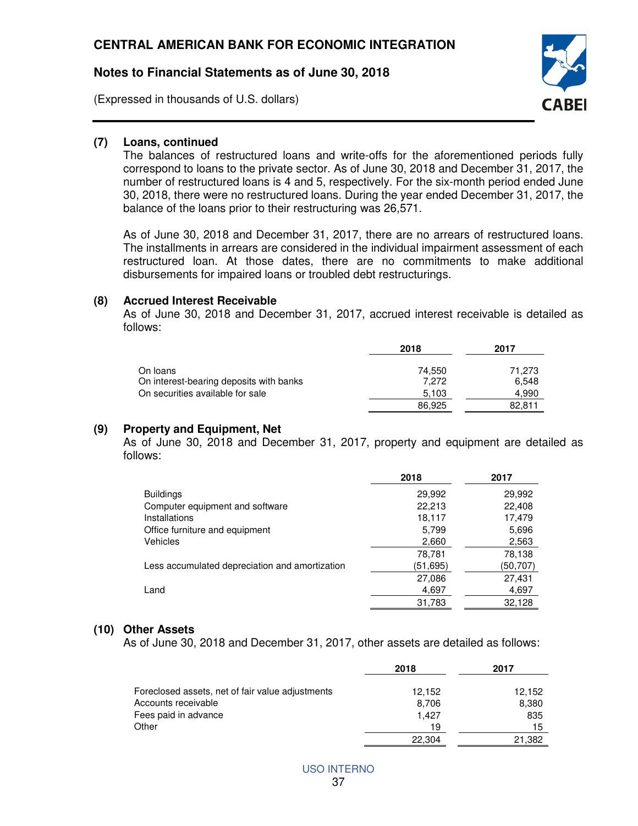(Expressed in thousands of U.S. dollars)



#### **(7) Loans, continued**

The balances of restructured loans and write-offs for the aforementioned periods fully correspond to loans to the private sector. As of June 30, 2018 and December 31, 2017, the number of restructured loans is 4 and 5, respectively. For the six-month period ended June 30, 2018, there were no restructured loans. During the year ended December 31, 2017, the balance of the loans prior to their restructuring was 26,571.

As of June 30, 2018 and December 31, 2017, there are no arrears of restructured loans. The installments in arrears are considered in the individual impairment assessment of each restructured loan. At those dates, there are no commitments to make additional disbursements for impaired loans or troubled debt restructurings.

#### **(8) Accrued Interest Receivable**

 As of June 30, 2018 and December 31, 2017, accrued interest receivable is detailed as follows:

|                                         | 2018   | 2017   |
|-----------------------------------------|--------|--------|
| On Ioans                                | 74.550 | 71.273 |
| On interest-bearing deposits with banks | 7.272  | 6.548  |
| On securities available for sale        | 5,103  | 4.990  |
|                                         | 86.925 | 82.811 |

#### **(9) Property and Equipment, Net**

As of June 30, 2018 and December 31, 2017, property and equipment are detailed as follows:

|                                                | 2018     | 2017     |
|------------------------------------------------|----------|----------|
| <b>Buildings</b>                               | 29,992   | 29,992   |
| Computer equipment and software                | 22,213   | 22,408   |
| Installations                                  | 18,117   | 17,479   |
| Office furniture and equipment                 | 5,799    | 5,696    |
| <b>Vehicles</b>                                | 2,660    | 2,563    |
|                                                | 78,781   | 78,138   |
| Less accumulated depreciation and amortization | (51,695) | (50,707) |
|                                                | 27,086   | 27,431   |
| Land                                           | 4,697    | 4,697    |
|                                                | 31,783   | 32.128   |

#### **(10) Other Assets**

As of June 30, 2018 and December 31, 2017, other assets are detailed as follows:

|                                                  | 2018   | 2017   |
|--------------------------------------------------|--------|--------|
| Foreclosed assets, net of fair value adjustments | 12.152 | 12.152 |
| Accounts receivable                              | 8.706  | 8,380  |
| Fees paid in advance                             | 1.427  | 835    |
| Other                                            | 19     | 15     |
|                                                  | 22,304 | 21,382 |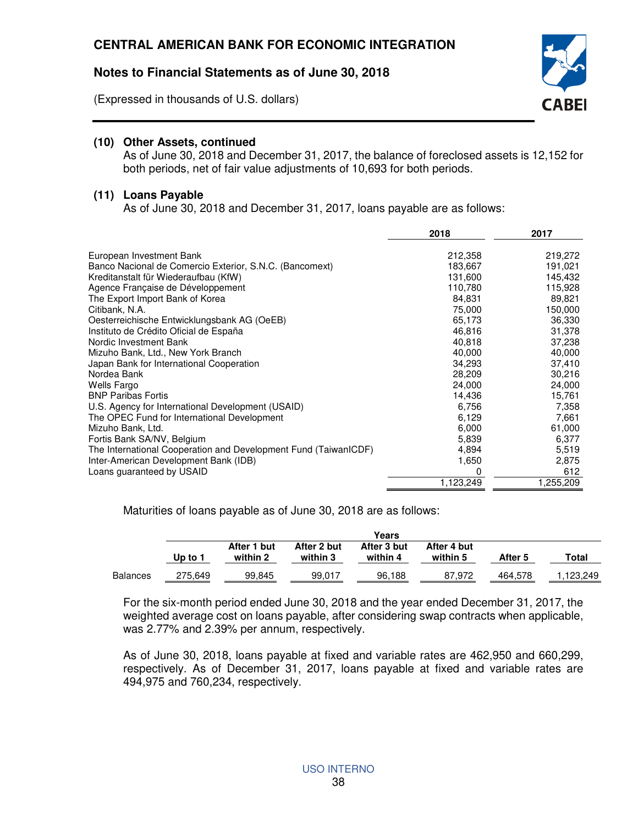(Expressed in thousands of U.S. dollars)



## **(10) Other Assets, continued**

As of June 30, 2018 and December 31, 2017, the balance of foreclosed assets is 12,152 for both periods, net of fair value adjustments of 10,693 for both periods.

#### **(11) Loans Payable**

As of June 30, 2018 and December 31, 2017, loans payable are as follows:

|                                                                 | 2018      | 2017      |
|-----------------------------------------------------------------|-----------|-----------|
|                                                                 |           |           |
| European Investment Bank                                        | 212,358   | 219,272   |
| Banco Nacional de Comercio Exterior, S.N.C. (Bancomext)         | 183,667   | 191,021   |
| Kreditanstalt für Wiederaufbau (KfW)                            | 131,600   | 145,432   |
| Agence Française de Développement                               | 110,780   | 115,928   |
| The Export Import Bank of Korea                                 | 84,831    | 89,821    |
| Citibank, N.A.                                                  | 75,000    | 150,000   |
| Oesterreichische Entwicklungsbank AG (OeEB)                     | 65,173    | 36,330    |
| Instituto de Crédito Oficial de España                          | 46,816    | 31,378    |
| Nordic Investment Bank                                          | 40,818    | 37,238    |
| Mizuho Bank, Ltd., New York Branch                              | 40,000    | 40,000    |
| Japan Bank for International Cooperation                        | 34,293    | 37,410    |
| Nordea Bank                                                     | 28,209    | 30,216    |
| <b>Wells Fargo</b>                                              | 24,000    | 24,000    |
| <b>BNP Paribas Fortis</b>                                       | 14,436    | 15,761    |
| U.S. Agency for International Development (USAID)               | 6,756     | 7,358     |
| The OPEC Fund for International Development                     | 6,129     | 7,661     |
| Mizuho Bank, Ltd.                                               | 6,000     | 61,000    |
| Fortis Bank SA/NV, Belgium                                      | 5,839     | 6,377     |
| The International Cooperation and Development Fund (TaiwanICDF) | 4,894     | 5,519     |
| Inter-American Development Bank (IDB)                           | 1,650     | 2,875     |
| Loans guaranteed by USAID                                       | 0         | 612       |
|                                                                 | 1,123,249 | 1,255,209 |

Maturities of loans payable as of June 30, 2018 are as follows:

|                 | Years   |                                                                                                          |        |        |         |         |         |
|-----------------|---------|----------------------------------------------------------------------------------------------------------|--------|--------|---------|---------|---------|
|                 | Up to 1 | After 2 but<br>After 3 but<br>After 1 but<br>After 4 but<br>within 4<br>within 3<br>within 5<br>within 2 |        |        | After 5 | Total   |         |
| <b>Balances</b> | 275,649 | 99,845                                                                                                   | 99,017 | 96.188 | 87.972  | 464.578 | 123,249 |

For the six-month period ended June 30, 2018 and the year ended December 31, 2017, the weighted average cost on loans payable, after considering swap contracts when applicable, was 2.77% and 2.39% per annum, respectively.

As of June 30, 2018, loans payable at fixed and variable rates are 462,950 and 660,299, respectively. As of December 31, 2017, loans payable at fixed and variable rates are 494,975 and 760,234, respectively.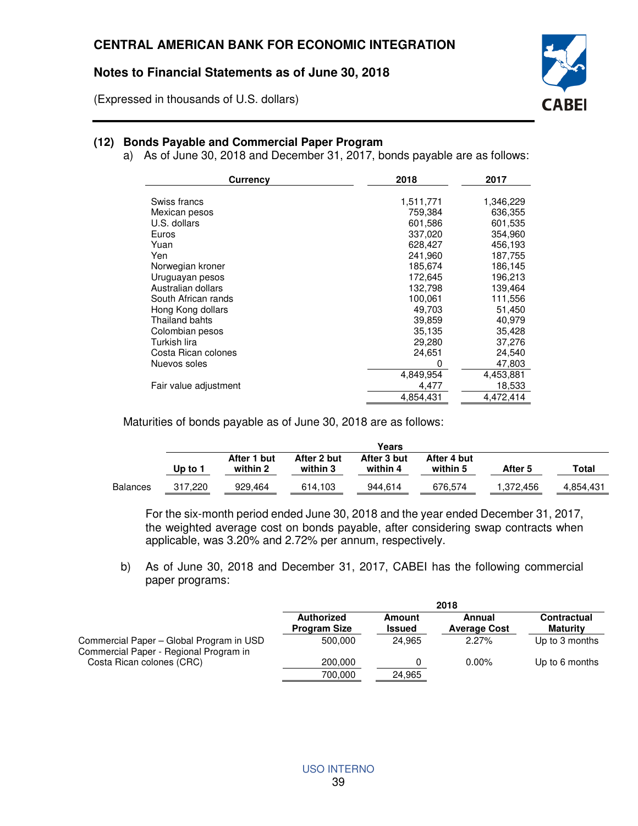(Expressed in thousands of U.S. dollars)

## **(12) Bonds Payable and Commercial Paper Program**

a) As of June 30, 2018 and December 31, 2017, bonds payable are as follows:

CABEI

| <b>Currency</b>       | 2018      | 2017      |
|-----------------------|-----------|-----------|
|                       |           |           |
| Swiss francs          | 1,511,771 | 1,346,229 |
| Mexican pesos         | 759,384   | 636,355   |
| U.S. dollars          | 601,586   | 601,535   |
| Euros                 | 337,020   | 354,960   |
| Yuan                  | 628,427   | 456,193   |
| Yen                   | 241,960   | 187,755   |
| Norwegian kroner      | 185,674   | 186,145   |
| Uruguayan pesos       | 172,645   | 196,213   |
| Australian dollars    | 132,798   | 139,464   |
| South African rands   | 100,061   | 111,556   |
| Hong Kong dollars     | 49.703    | 51,450    |
| Thailand bahts        | 39,859    | 40,979    |
| Colombian pesos       | 35,135    | 35,428    |
| Turkish lira          | 29,280    | 37,276    |
| Costa Rican colones   | 24,651    | 24,540    |
| Nuevos soles          | 0         | 47,803    |
|                       | 4,849,954 | 4,453,881 |
| Fair value adjustment | 4,477     | 18,533    |
|                       | 4,854,431 | 4,472,414 |
|                       |           |           |

Maturities of bonds payable as of June 30, 2018 are as follows:

|                 | Years   |             |             |             |             |           |           |
|-----------------|---------|-------------|-------------|-------------|-------------|-----------|-----------|
|                 |         | After 1 but | After 2 but | After 3 but | After 4 but |           |           |
|                 | Up to 1 | within 2    | within 3    | within 4    | within 5    | After 5   | Total     |
| <b>Balances</b> | 317.220 | 929.464     | 614.103     | 944.614     | 676,574     | 1,372,456 | 4,854,431 |

For the six-month period ended June 30, 2018 and the year ended December 31, 2017, the weighted average cost on bonds payable, after considering swap contracts when applicable, was 3.20% and 2.72% per annum, respectively.

b) As of June 30, 2018 and December 31, 2017, CABEI has the following commercial paper programs:

|                                                                                    | 2018                              |                         |                               |                                       |  |
|------------------------------------------------------------------------------------|-----------------------------------|-------------------------|-------------------------------|---------------------------------------|--|
|                                                                                    | Authorized<br><b>Program Size</b> | Amount<br><b>Issued</b> | Annual<br><b>Average Cost</b> | <b>Contractual</b><br><b>Maturity</b> |  |
| Commercial Paper - Global Program in USD<br>Commercial Paper - Regional Program in | 500.000                           | 24.965                  | $2.27\%$                      | Up to 3 months                        |  |
| Costa Rican colones (CRC)                                                          | 200,000                           |                         | $0.00\%$                      | Up to 6 months                        |  |
|                                                                                    | 700.000                           | 24.965                  |                               |                                       |  |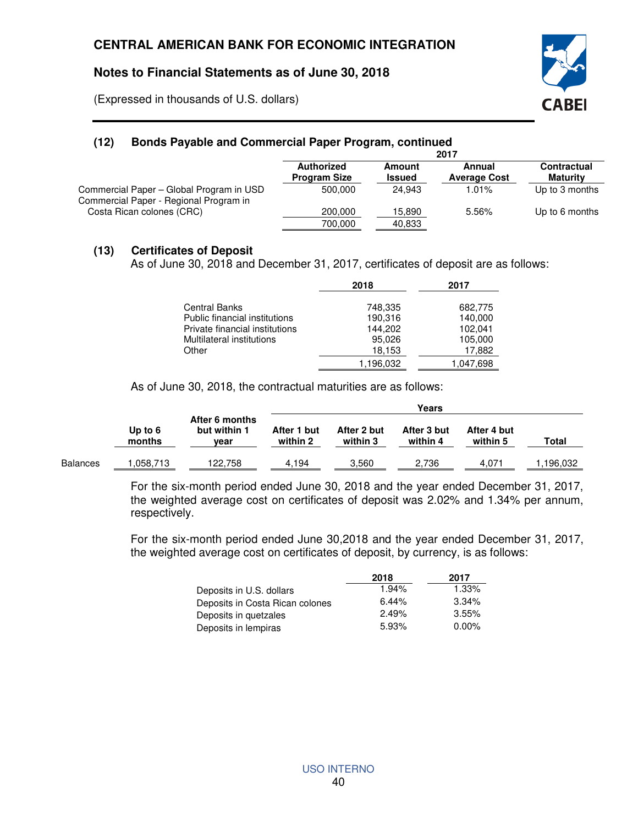(Expressed in thousands of U.S. dollars)



## **(12) Bonds Payable and Commercial Paper Program, continued**

|                                                                                    | 2017                              |                         |                               |                                |  |
|------------------------------------------------------------------------------------|-----------------------------------|-------------------------|-------------------------------|--------------------------------|--|
|                                                                                    | Authorized<br><b>Program Size</b> | Amount<br><b>Issued</b> | Annual<br><b>Average Cost</b> | <b>Contractual</b><br>Maturity |  |
| Commercial Paper - Global Program in USD<br>Commercial Paper - Regional Program in | 500.000                           | 24.943                  | 1.01%                         | Up to 3 months                 |  |
| Costa Rican colones (CRC)                                                          | 200.000                           | 15,890                  | 5.56%                         | Up to 6 months                 |  |
|                                                                                    | 700.000                           | 40.833                  |                               |                                |  |

### **(13) Certificates of Deposit**

As of June 30, 2018 and December 31, 2017, certificates of deposit are as follows:

|                                | 2018      | 2017      |
|--------------------------------|-----------|-----------|
| <b>Central Banks</b>           | 748,335   | 682,775   |
| Public financial institutions  | 190,316   | 140,000   |
| Private financial institutions | 144.202   | 102,041   |
| Multilateral institutions      | 95,026    | 105,000   |
| Other                          | 18,153    | 17,882    |
|                                | 1.196.032 | 1,047,698 |

As of June 30, 2018, the contractual maturities are as follows:

|                 |                     |                                        | Years                   |                         |                         |                         |          |
|-----------------|---------------------|----------------------------------------|-------------------------|-------------------------|-------------------------|-------------------------|----------|
|                 | Up to $6$<br>months | After 6 months<br>but within 1<br>vear | After 1 but<br>within 2 | After 2 but<br>within 3 | After 3 but<br>within 4 | After 4 but<br>within 5 | Total    |
| <b>Balances</b> | .058.713            | 122.758                                | 4.194                   | 3.560                   | 2.736                   | 4.071                   | .196.032 |

For the six-month period ended June 30, 2018 and the year ended December 31, 2017, the weighted average cost on certificates of deposit was 2.02% and 1.34% per annum, respectively.

For the six-month period ended June 30,2018 and the year ended December 31, 2017, the weighted average cost on certificates of deposit, by currency, is as follows:

|                                 | 2018  | 2017     |
|---------------------------------|-------|----------|
| Deposits in U.S. dollars        | 1.94% | 1.33%    |
| Deposits in Costa Rican colones | 6.44% | 3.34%    |
| Deposits in quetzales           | 2.49% | 3.55%    |
| Deposits in lempiras            | 5.93% | $0.00\%$ |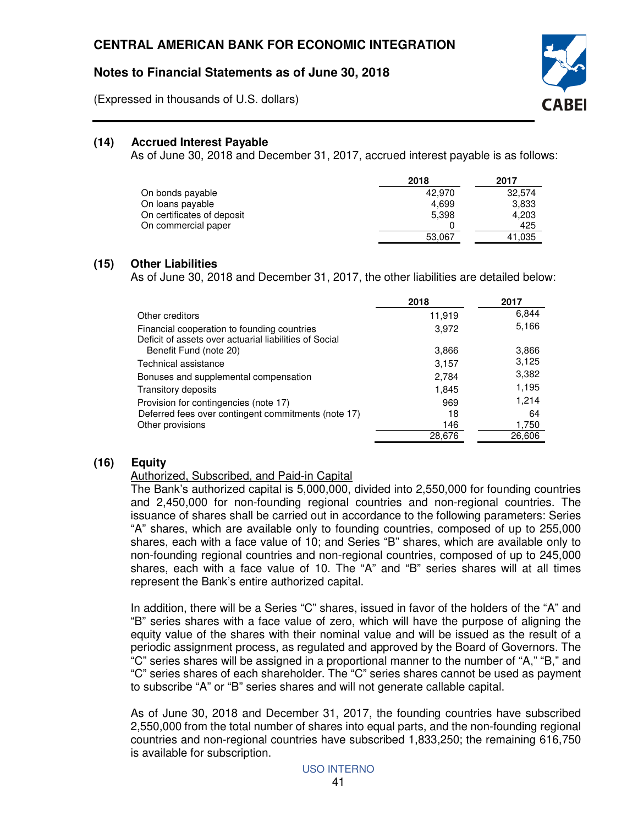(Expressed in thousands of U.S. dollars)



## **(14) Accrued Interest Payable**

As of June 30, 2018 and December 31, 2017, accrued interest payable is as follows:

|                            | 2018   | 2017   |
|----------------------------|--------|--------|
| On bonds payable           | 42.970 | 32.574 |
| On loans payable           | 4.699  | 3,833  |
| On certificates of deposit | 5.398  | 4,203  |
| On commercial paper        |        | 425    |
|                            | 53.067 | 41,035 |

#### **(15) Other Liabilities**

As of June 30, 2018 and December 31, 2017, the other liabilities are detailed below:

|                                                                                                       | 2018   | 2017   |
|-------------------------------------------------------------------------------------------------------|--------|--------|
| Other creditors                                                                                       | 11,919 | 6,844  |
| Financial cooperation to founding countries<br>Deficit of assets over actuarial liabilities of Social | 3,972  | 5,166  |
| Benefit Fund (note 20)                                                                                | 3,866  | 3,866  |
| Technical assistance                                                                                  | 3,157  | 3,125  |
| Bonuses and supplemental compensation                                                                 | 2,784  | 3,382  |
| Transitory deposits                                                                                   | 1,845  | 1,195  |
| Provision for contingencies (note 17)                                                                 | 969    | 1,214  |
| Deferred fees over contingent commitments (note 17)                                                   | 18     | 64     |
| Other provisions                                                                                      | 146    | 1,750  |
|                                                                                                       | 28.676 | 26.606 |

# **(16) Equity**

#### Authorized, Subscribed, and Paid-in Capital

The Bank's authorized capital is 5,000,000, divided into 2,550,000 for founding countries and 2,450,000 for non-founding regional countries and non-regional countries. The issuance of shares shall be carried out in accordance to the following parameters: Series "A" shares, which are available only to founding countries, composed of up to 255,000 shares, each with a face value of 10; and Series "B" shares, which are available only to non-founding regional countries and non-regional countries, composed of up to 245,000 shares, each with a face value of 10. The "A" and "B" series shares will at all times represent the Bank's entire authorized capital.

In addition, there will be a Series "C" shares, issued in favor of the holders of the "A" and "B" series shares with a face value of zero, which will have the purpose of aligning the equity value of the shares with their nominal value and will be issued as the result of a periodic assignment process, as regulated and approved by the Board of Governors. The "C" series shares will be assigned in a proportional manner to the number of "A," "B," and "C" series shares of each shareholder. The "C" series shares cannot be used as payment to subscribe "A" or "B" series shares and will not generate callable capital.

As of June 30, 2018 and December 31, 2017, the founding countries have subscribed 2,550,000 from the total number of shares into equal parts, and the non-founding regional countries and non-regional countries have subscribed 1,833,250; the remaining 616,750 is available for subscription.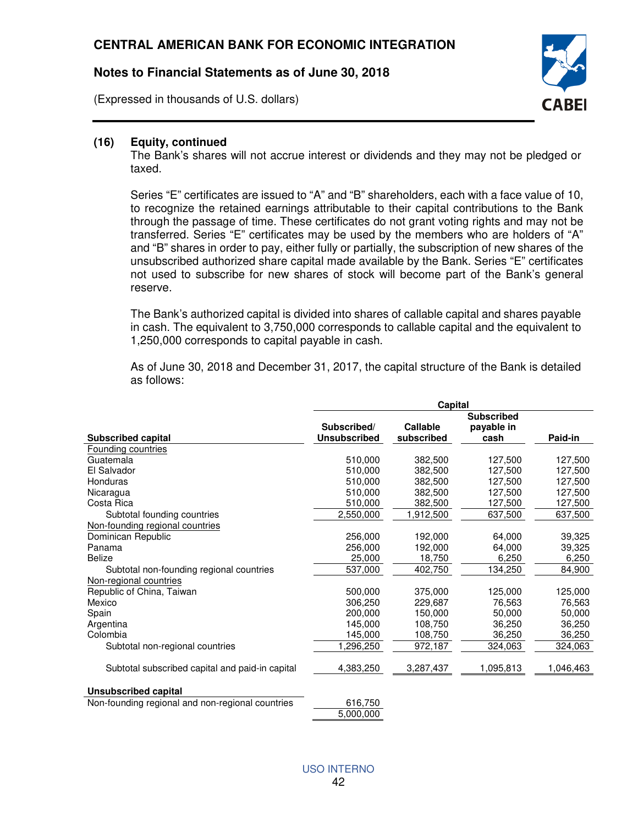(Expressed in thousands of U.S. dollars)



#### **(16) Equity, continued**

The Bank's shares will not accrue interest or dividends and they may not be pledged or taxed.

Series "E" certificates are issued to "A" and "B" shareholders, each with a face value of 10, to recognize the retained earnings attributable to their capital contributions to the Bank through the passage of time. These certificates do not grant voting rights and may not be transferred. Series "E" certificates may be used by the members who are holders of "A" and "B" shares in order to pay, either fully or partially, the subscription of new shares of the unsubscribed authorized share capital made available by the Bank. Series "E" certificates not used to subscribe for new shares of stock will become part of the Bank's general reserve.

The Bank's authorized capital is divided into shares of callable capital and shares payable in cash. The equivalent to 3,750,000 corresponds to callable capital and the equivalent to 1,250,000 corresponds to capital payable in cash.

As of June 30, 2018 and December 31, 2017, the capital structure of the Bank is detailed as follows:

|                                                  | Capital                            |                        |                    |                    |  |
|--------------------------------------------------|------------------------------------|------------------------|--------------------|--------------------|--|
|                                                  |                                    |                        | <b>Subscribed</b>  |                    |  |
|                                                  | Subscribed/<br><b>Unsubscribed</b> | Callable<br>subscribed | payable in<br>cash | Paid-in            |  |
| <b>Subscribed capital</b>                        |                                    |                        |                    |                    |  |
| Founding countries<br>Guatemala                  | 510,000                            | 382,500                |                    |                    |  |
| El Salvador                                      | 510,000                            | 382,500                | 127,500<br>127,500 | 127,500<br>127,500 |  |
|                                                  |                                    |                        |                    |                    |  |
| Honduras                                         | 510.000                            | 382,500                | 127,500            | 127,500            |  |
| Nicaragua                                        | 510.000                            | 382,500                | 127.500            | 127.500            |  |
| Costa Rica                                       | 510,000                            | 382,500                | 127,500            | 127,500            |  |
| Subtotal founding countries                      | 2,550,000                          | 1,912,500              | 637,500            | 637,500            |  |
| Non-founding regional countries                  |                                    |                        |                    |                    |  |
| Dominican Republic                               | 256,000                            | 192,000                | 64,000             | 39,325             |  |
| Panama                                           | 256,000                            | 192,000                | 64,000             | 39,325             |  |
| <b>Belize</b>                                    | 25,000                             | 18,750                 | 6,250              | 6,250              |  |
| Subtotal non-founding regional countries         | 537,000                            | 402,750                | 134,250            | 84,900             |  |
| Non-regional countries                           |                                    |                        |                    |                    |  |
| Republic of China, Taiwan                        | 500.000                            | 375,000                | 125,000            | 125,000            |  |
| Mexico                                           | 306,250                            | 229,687                | 76,563             | 76,563             |  |
| Spain                                            | 200.000                            | 150,000                | 50,000             | 50,000             |  |
| Argentina                                        | 145,000                            | 108,750                | 36,250             | 36,250             |  |
| Colombia                                         | 145,000                            | 108,750                | 36,250             | 36,250             |  |
| Subtotal non-regional countries                  | ,296,250                           | 972,187                | 324,063            | 324,063            |  |
| Subtotal subscribed capital and paid-in capital  | 4,383,250                          | 3,287,437              | 1,095,813          | 1,046,463          |  |
| <b>Unsubscribed capital</b>                      |                                    |                        |                    |                    |  |
| Non-founding regional and non-regional countries | 616,750                            |                        |                    |                    |  |
|                                                  | 5,000,000                          |                        |                    |                    |  |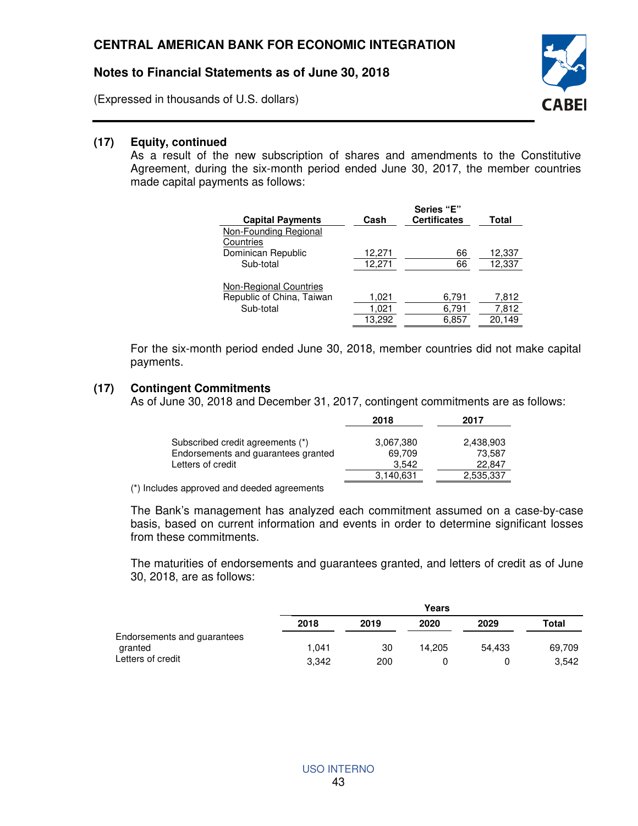(Expressed in thousands of U.S. dollars)



### **(17) Equity, continued**

As a result of the new subscription of shares and amendments to the Constitutive Agreement, during the six-month period ended June 30, 2017, the member countries made capital payments as follows:

| <b>Capital Payments</b>       | Cash   | Series "E"<br><b>Certificates</b> | Total  |
|-------------------------------|--------|-----------------------------------|--------|
| Non-Founding Regional         |        |                                   |        |
| Countries                     |        |                                   |        |
| Dominican Republic            | 12,271 | 66                                | 12,337 |
| Sub-total                     | 12,271 | 66                                | 12,337 |
| <b>Non-Regional Countries</b> |        |                                   |        |
| Republic of China, Taiwan     | 1,021  | 6,791                             | 7,812  |
| Sub-total                     | 1,021  | 6,791                             | 7,812  |
|                               | 13.292 | 6.857                             | 20.149 |

For the six-month period ended June 30, 2018, member countries did not make capital payments.

#### **(17) Contingent Commitments**

As of June 30, 2018 and December 31, 2017, contingent commitments are as follows:

|                                     | 2018      | 2017      |
|-------------------------------------|-----------|-----------|
| Subscribed credit agreements (*)    | 3,067,380 | 2,438,903 |
| Endorsements and guarantees granted | 69.709    | 73.587    |
| Letters of credit                   | 3.542     | 22.847    |
|                                     | 3.140.631 | 2,535,337 |

(\*) Includes approved and deeded agreements

The Bank's management has analyzed each commitment assumed on a case-by-case basis, based on current information and events in order to determine significant losses from these commitments.

The maturities of endorsements and guarantees granted, and letters of credit as of June 30, 2018, are as follows:

|                                        |       |      | Years  |        |        |
|----------------------------------------|-------|------|--------|--------|--------|
|                                        | 2018  | 2019 | 2020   | 2029   | Total  |
| Endorsements and guarantees<br>granted | 1.041 | 30   | 14.205 | 54.433 | 69,709 |
| Letters of credit                      | 3.342 | 200  |        |        | 3.542  |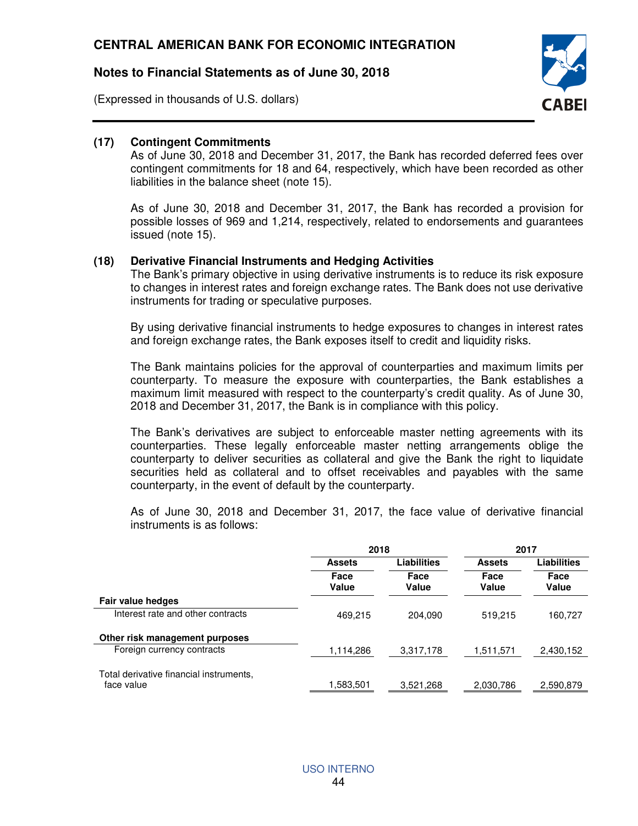(Expressed in thousands of U.S. dollars)



### **(17) Contingent Commitments**

As of June 30, 2018 and December 31, 2017, the Bank has recorded deferred fees over contingent commitments for 18 and 64, respectively, which have been recorded as other liabilities in the balance sheet (note 15).

As of June 30, 2018 and December 31, 2017, the Bank has recorded a provision for possible losses of 969 and 1,214, respectively, related to endorsements and guarantees issued (note 15).

#### **(18) Derivative Financial Instruments and Hedging Activities**

The Bank's primary objective in using derivative instruments is to reduce its risk exposure to changes in interest rates and foreign exchange rates. The Bank does not use derivative instruments for trading or speculative purposes.

By using derivative financial instruments to hedge exposures to changes in interest rates and foreign exchange rates, the Bank exposes itself to credit and liquidity risks.

The Bank maintains policies for the approval of counterparties and maximum limits per counterparty. To measure the exposure with counterparties, the Bank establishes a maximum limit measured with respect to the counterparty's credit quality. As of June 30, 2018 and December 31, 2017, the Bank is in compliance with this policy.

The Bank's derivatives are subject to enforceable master netting agreements with its counterparties. These legally enforceable master netting arrangements oblige the counterparty to deliver securities as collateral and give the Bank the right to liquidate securities held as collateral and to offset receivables and payables with the same counterparty, in the event of default by the counterparty.

As of June 30, 2018 and December 31, 2017, the face value of derivative financial instruments is as follows:

|                                                       |               | 2018          |               | 2017          |  |
|-------------------------------------------------------|---------------|---------------|---------------|---------------|--|
|                                                       | <b>Assets</b> | Liabilities   |               | Liabilities   |  |
|                                                       | Face<br>Value | Face<br>Value | Face<br>Value | Face<br>Value |  |
| Fair value hedges                                     |               |               |               |               |  |
| Interest rate and other contracts                     | 469,215       | 204.090       | 519,215       | 160,727       |  |
| Other risk management purposes                        |               |               |               |               |  |
| Foreign currency contracts                            | 1,114,286     | 3,317,178     | 1,511,571     | 2,430,152     |  |
| Total derivative financial instruments,<br>face value | 1,583,501     | 3,521,268     | 2,030,786     | 2,590,879     |  |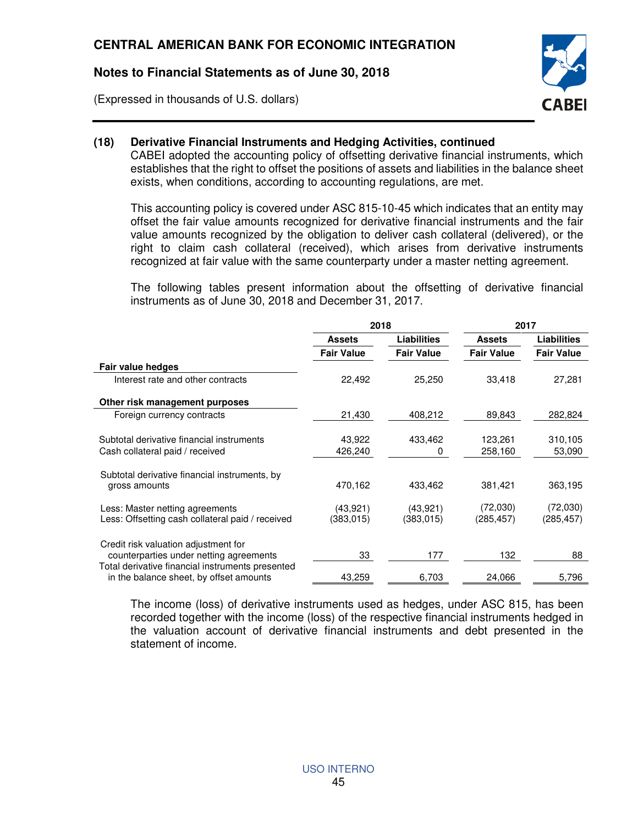(Expressed in thousands of U.S. dollars)



### **(18) Derivative Financial Instruments and Hedging Activities, continued**

CABEI adopted the accounting policy of offsetting derivative financial instruments, which establishes that the right to offset the positions of assets and liabilities in the balance sheet exists, when conditions, according to accounting regulations, are met.

This accounting policy is covered under ASC 815-10-45 which indicates that an entity may offset the fair value amounts recognized for derivative financial instruments and the fair value amounts recognized by the obligation to deliver cash collateral (delivered), or the right to claim cash collateral (received), which arises from derivative instruments recognized at fair value with the same counterparty under a master netting agreement.

The following tables present information about the offsetting of derivative financial instruments as of June 30, 2018 and December 31, 2017.

|                                                                                             | 2018              |                    | 2017              |                    |
|---------------------------------------------------------------------------------------------|-------------------|--------------------|-------------------|--------------------|
|                                                                                             | <b>Assets</b>     | <b>Liabilities</b> | <b>Assets</b>     | <b>Liabilities</b> |
|                                                                                             | <b>Fair Value</b> | <b>Fair Value</b>  | <b>Fair Value</b> | <b>Fair Value</b>  |
| Fair value hedges                                                                           |                   |                    |                   |                    |
| Interest rate and other contracts                                                           | 22,492            | 25,250             | 33,418            | 27,281             |
| Other risk management purposes                                                              |                   |                    |                   |                    |
| Foreign currency contracts                                                                  | 21,430            | 408,212            | 89,843            | 282,824            |
| Subtotal derivative financial instruments                                                   | 43,922            | 433,462            | 123,261           | 310,105            |
| Cash collateral paid / received                                                             | 426,240           | 0                  | 258,160           | 53,090             |
| Subtotal derivative financial instruments, by                                               |                   |                    |                   |                    |
| gross amounts                                                                               | 470,162           | 433,462            | 381,421           | 363,195            |
| Less: Master netting agreements                                                             | (43,921)          | (43, 921)          | (72,030)          | (72,030)           |
| Less: Offsetting cash collateral paid / received                                            | (383,015)         | (383, 015)         | (285, 457)        | (285, 457)         |
| Credit risk valuation adjustment for                                                        |                   |                    |                   |                    |
| counterparties under netting agreements<br>Total derivative financial instruments presented | 33                | 177                | 132               | 88                 |
| in the balance sheet, by offset amounts                                                     | 43,259            | 6,703              | 24,066            | 5,796              |

The income (loss) of derivative instruments used as hedges, under ASC 815, has been recorded together with the income (loss) of the respective financial instruments hedged in the valuation account of derivative financial instruments and debt presented in the statement of income.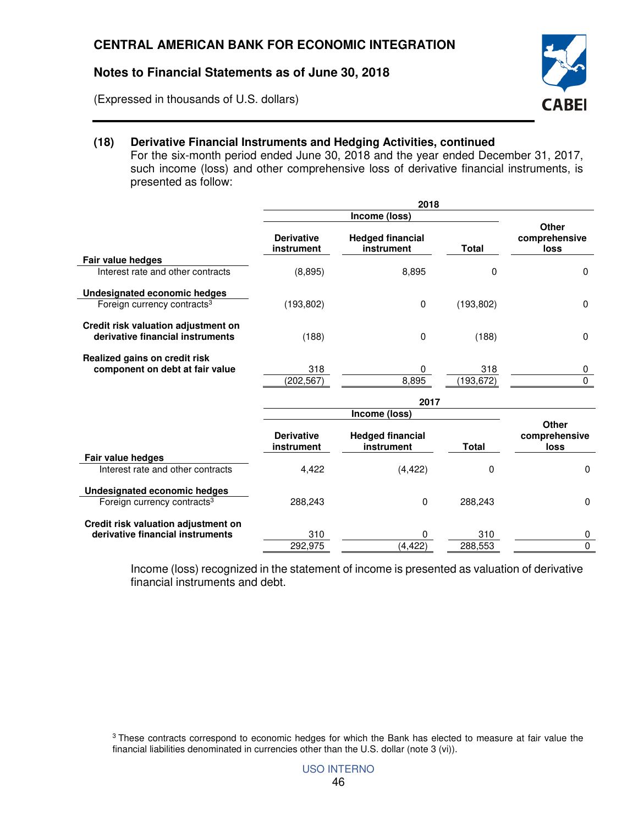(Expressed in thousands of U.S. dollars)



# **(18) Derivative Financial Instruments and Hedging Activities, continued**

For the six-month period ended June 30, 2018 and the year ended December 31, 2017, such income (loss) and other comprehensive loss of derivative financial instruments, is presented as follow:

|                                                                         | 2018                            |                                       |              |                                       |
|-------------------------------------------------------------------------|---------------------------------|---------------------------------------|--------------|---------------------------------------|
|                                                                         | Income (loss)                   |                                       |              |                                       |
|                                                                         | <b>Derivative</b><br>instrument | <b>Hedged financial</b><br>instrument | <b>Total</b> | Other<br>comprehensive<br>loss        |
| Fair value hedges                                                       |                                 |                                       |              |                                       |
| Interest rate and other contracts                                       | (8,895)                         | 8,895                                 | $\Omega$     | $\mathbf 0$                           |
| Undesignated economic hedges                                            |                                 |                                       |              |                                       |
| Foreign currency contracts <sup>3</sup>                                 | (193, 802)                      | 0                                     | (193, 802)   | $\Omega$                              |
| Credit risk valuation adjustment on<br>derivative financial instruments | (188)                           | 0                                     | (188)        | $\Omega$                              |
| Realized gains on credit risk                                           |                                 |                                       |              |                                       |
| component on debt at fair value                                         | 318                             | 0                                     | 318          | 0<br>0                                |
|                                                                         | (202, 567)                      | 8,895                                 | (193, 672)   |                                       |
|                                                                         |                                 | 2017                                  |              |                                       |
|                                                                         |                                 | Income (loss)                         |              |                                       |
|                                                                         | <b>Derivative</b><br>instrument | <b>Hedged financial</b><br>instrument | <b>Total</b> | Other<br>comprehensive<br><b>loss</b> |
| Fair value hedges                                                       |                                 |                                       |              |                                       |
| Interest rate and other contracts                                       | 4,422                           | (4, 422)                              | $\Omega$     | $\Omega$                              |
| Undesignated economic hedges                                            |                                 |                                       |              |                                       |
| Foreign currency contracts <sup>3</sup>                                 | 288,243                         | 0                                     | 288,243      | $\Omega$                              |
| Credit risk valuation adjustment on<br>derivative financial instruments |                                 |                                       |              |                                       |
|                                                                         | 310                             | 0                                     | 310          | 0                                     |
|                                                                         | 292,975                         | (4, 422)                              | 288.553      | $\mathbf{0}$                          |

Income (loss) recognized in the statement of income is presented as valuation of derivative financial instruments and debt.

<sup>&</sup>lt;sup>3</sup> These contracts correspond to economic hedges for which the Bank has elected to measure at fair value the financial liabilities denominated in currencies other than the U.S. dollar (note 3 (vi)).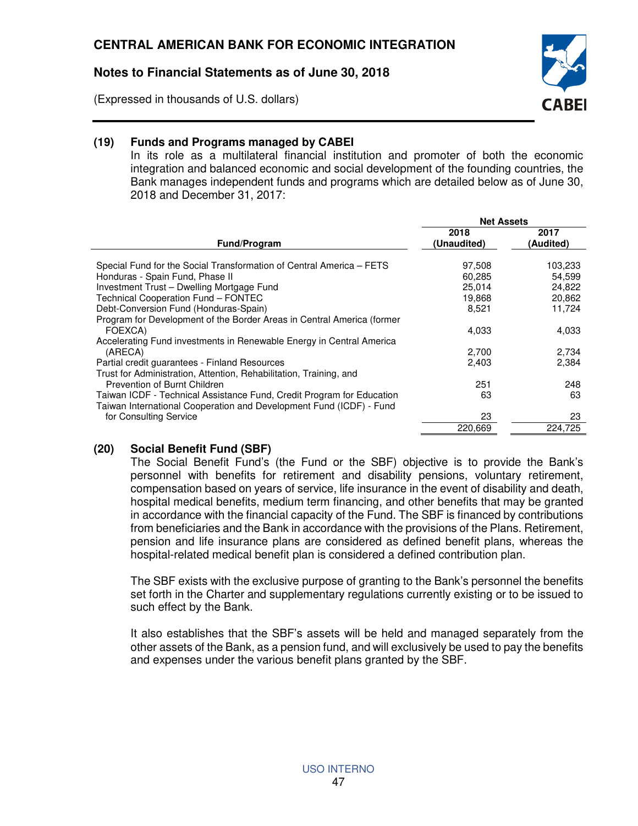(Expressed in thousands of U.S. dollars)



## **(19) Funds and Programs managed by CABEI**

In its role as a multilateral financial institution and promoter of both the economic integration and balanced economic and social development of the founding countries, the Bank manages independent funds and programs which are detailed below as of June 30, 2018 and December 31, 2017:

|                                                                        | <b>Net Assets</b> |           |
|------------------------------------------------------------------------|-------------------|-----------|
|                                                                        | 2018              | 2017      |
| Fund/Program                                                           | (Unaudited)       | (Audited) |
| Special Fund for the Social Transformation of Central America - FETS   | 97,508            | 103,233   |
| Honduras - Spain Fund, Phase II                                        | 60.285            | 54,599    |
| Investment Trust - Dwelling Mortgage Fund                              | 25,014            | 24,822    |
| Technical Cooperation Fund - FONTEC                                    | 19,868            | 20,862    |
| Debt-Conversion Fund (Honduras-Spain)                                  | 8,521             | 11,724    |
| Program for Development of the Border Areas in Central America (former |                   |           |
| FOEXCA)                                                                | 4,033             | 4,033     |
| Accelerating Fund investments in Renewable Energy in Central America   |                   |           |
| (ARECA)                                                                | 2,700             | 2,734     |
| Partial credit guarantees - Finland Resources                          | 2,403             | 2,384     |
| Trust for Administration, Attention, Rehabilitation, Training, and     |                   |           |
| Prevention of Burnt Children                                           | 251               | 248       |
| Taiwan ICDF - Technical Assistance Fund, Credit Program for Education  | 63                | 63        |
| Taiwan International Cooperation and Development Fund (ICDF) - Fund    |                   |           |
| for Consulting Service                                                 | 23                | 23        |
|                                                                        | 220.669           | 224.725   |

## **(20) Social Benefit Fund (SBF)**

The Social Benefit Fund's (the Fund or the SBF) objective is to provide the Bank's personnel with benefits for retirement and disability pensions, voluntary retirement, compensation based on years of service, life insurance in the event of disability and death, hospital medical benefits, medium term financing, and other benefits that may be granted in accordance with the financial capacity of the Fund. The SBF is financed by contributions from beneficiaries and the Bank in accordance with the provisions of the Plans. Retirement, pension and life insurance plans are considered as defined benefit plans, whereas the hospital-related medical benefit plan is considered a defined contribution plan.

The SBF exists with the exclusive purpose of granting to the Bank's personnel the benefits set forth in the Charter and supplementary regulations currently existing or to be issued to such effect by the Bank.

It also establishes that the SBF's assets will be held and managed separately from the other assets of the Bank, as a pension fund, and will exclusively be used to pay the benefits and expenses under the various benefit plans granted by the SBF.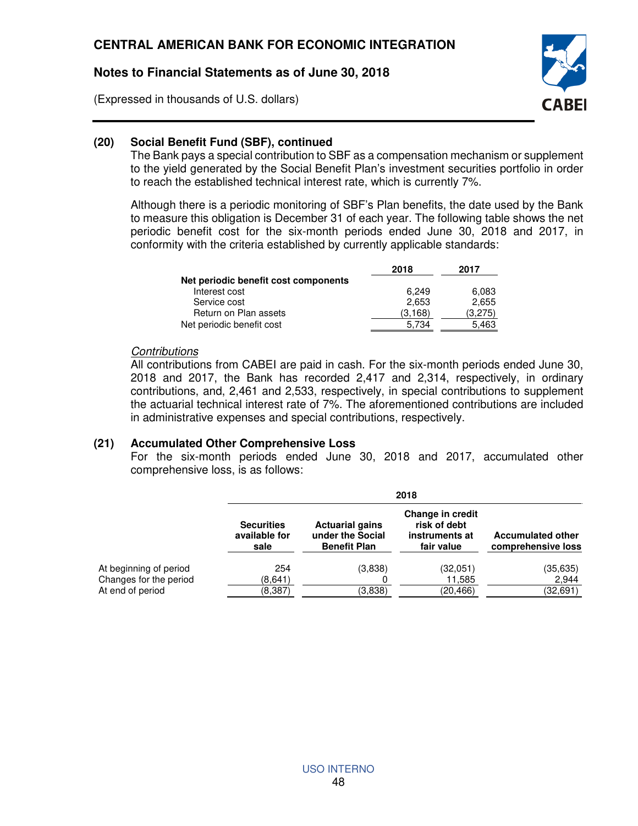(Expressed in thousands of U.S. dollars)



### **(20) Social Benefit Fund (SBF), continued**

The Bank pays a special contribution to SBF as a compensation mechanism or supplement to the yield generated by the Social Benefit Plan's investment securities portfolio in order to reach the established technical interest rate, which is currently 7%.

Although there is a periodic monitoring of SBF's Plan benefits, the date used by the Bank to measure this obligation is December 31 of each year. The following table shows the net periodic benefit cost for the six-month periods ended June 30, 2018 and 2017, in conformity with the criteria established by currently applicable standards:

|                                      | 2018     | 2017    |
|--------------------------------------|----------|---------|
| Net periodic benefit cost components |          |         |
| Interest cost                        | 6.249    | 6,083   |
| Service cost                         | 2.653    | 2.655   |
| Return on Plan assets                | (3, 168) | (3.275) |
| Net periodic benefit cost            | 5.734    | 5.463   |

#### **Contributions**

All contributions from CABEI are paid in cash. For the six-month periods ended June 30, 2018 and 2017, the Bank has recorded 2,417 and 2,314, respectively, in ordinary contributions, and, 2,461 and 2,533, respectively, in special contributions to supplement the actuarial technical interest rate of 7%. The aforementioned contributions are included in administrative expenses and special contributions, respectively.

#### **(21) Accumulated Other Comprehensive Loss**

For the six-month periods ended June 30, 2018 and 2017, accumulated other comprehensive loss, is as follows:

|                        |                                            | 2018                                                              |                                                                  |                                                |  |
|------------------------|--------------------------------------------|-------------------------------------------------------------------|------------------------------------------------------------------|------------------------------------------------|--|
|                        | <b>Securities</b><br>available for<br>sale | <b>Actuarial gains</b><br>under the Social<br><b>Benefit Plan</b> | Change in credit<br>risk of debt<br>instruments at<br>fair value | <b>Accumulated other</b><br>comprehensive loss |  |
| At beginning of period | 254                                        | (3,838)                                                           | (32,051)                                                         | (35, 635)                                      |  |
| Changes for the period | (8,641)                                    |                                                                   | 11,585                                                           | 2,944                                          |  |
| At end of period       | (8,387)                                    | (3,838)                                                           | (20, 466)                                                        | (32,691)                                       |  |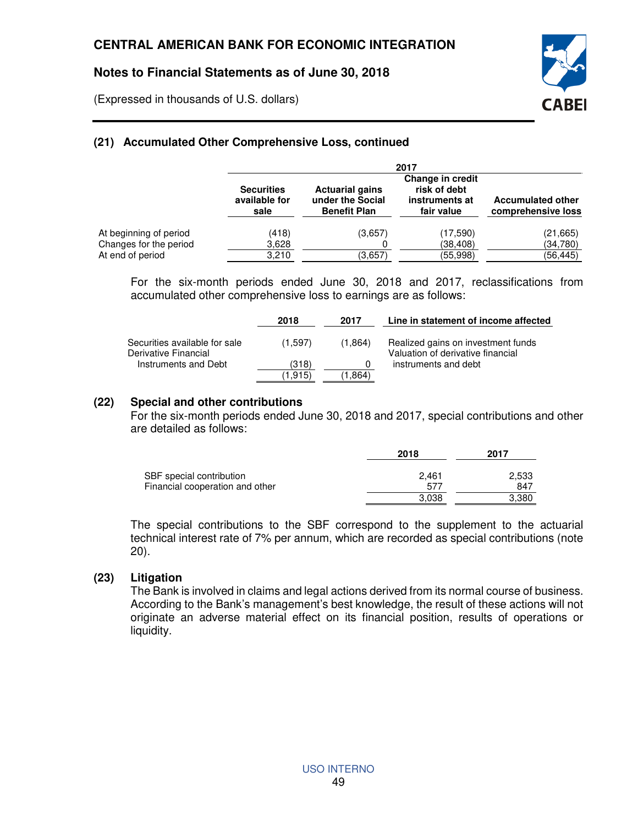(Expressed in thousands of U.S. dollars)

# **(21) Accumulated Other Comprehensive Loss, continued**

|                                            | 2017                                       |                                                                   |                                                                  |                                                |
|--------------------------------------------|--------------------------------------------|-------------------------------------------------------------------|------------------------------------------------------------------|------------------------------------------------|
|                                            | <b>Securities</b><br>available for<br>sale | <b>Actuarial gains</b><br>under the Social<br><b>Benefit Plan</b> | Change in credit<br>risk of debt<br>instruments at<br>fair value | <b>Accumulated other</b><br>comprehensive loss |
| At beginning of period                     | (418)                                      | (3,657)                                                           | (17,590)                                                         | (21, 665)                                      |
| Changes for the period<br>At end of period | 3,628<br>3,210                             | (3,657)                                                           | (38, 408)<br>(55, 998)                                           | (34,780)<br>(56, 445)                          |

For the six-month periods ended June 30, 2018 and 2017, reclassifications from accumulated other comprehensive loss to earnings are as follows:

EABEI

|                                                       | 2018     | 2017    | Line in statement of income affected                                    |
|-------------------------------------------------------|----------|---------|-------------------------------------------------------------------------|
| Securities available for sale<br>Derivative Financial | (1.597)  | (1.864) | Realized gains on investment funds<br>Valuation of derivative financial |
| Instruments and Debt                                  | (318)    |         | instruments and debt                                                    |
|                                                       | (1, 915) | (864، ، |                                                                         |

#### **(22) Special and other contributions**

For the six-month periods ended June 30, 2018 and 2017, special contributions and other are detailed as follows:

|                                 | 2018  | 2017  |
|---------------------------------|-------|-------|
| SBF special contribution        | 2.461 | 2,533 |
| Financial cooperation and other | 577   | 847   |
|                                 | 3.038 | 3,380 |

The special contributions to the SBF correspond to the supplement to the actuarial technical interest rate of 7% per annum, which are recorded as special contributions (note 20).

#### **(23) Litigation**

The Bank is involved in claims and legal actions derived from its normal course of business. According to the Bank's management's best knowledge, the result of these actions will not originate an adverse material effect on its financial position, results of operations or liquidity.